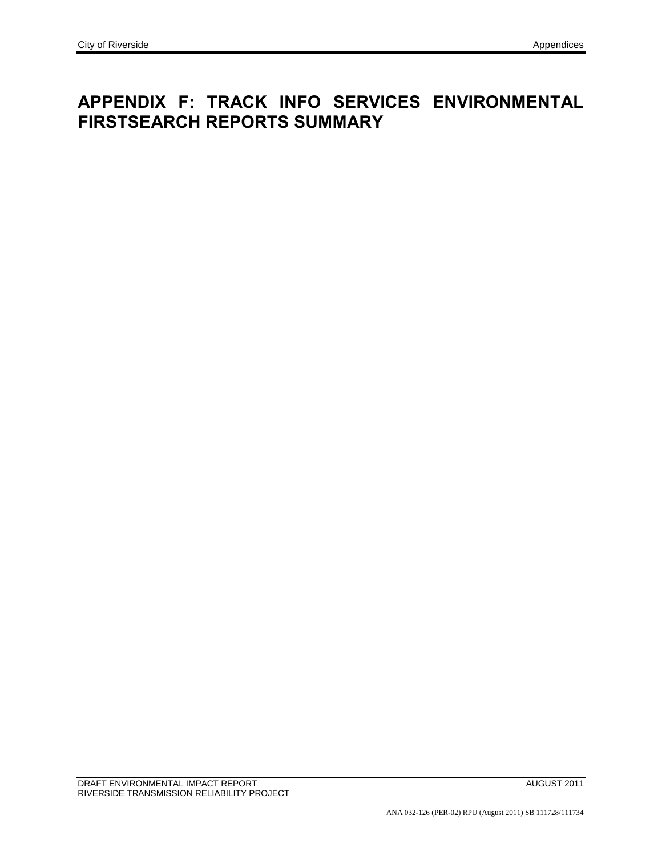# **APPENDIX F: TRACK INFO SERVICES ENVIRONMENTAL FIRSTSEARCH REPORTS SUMMARY**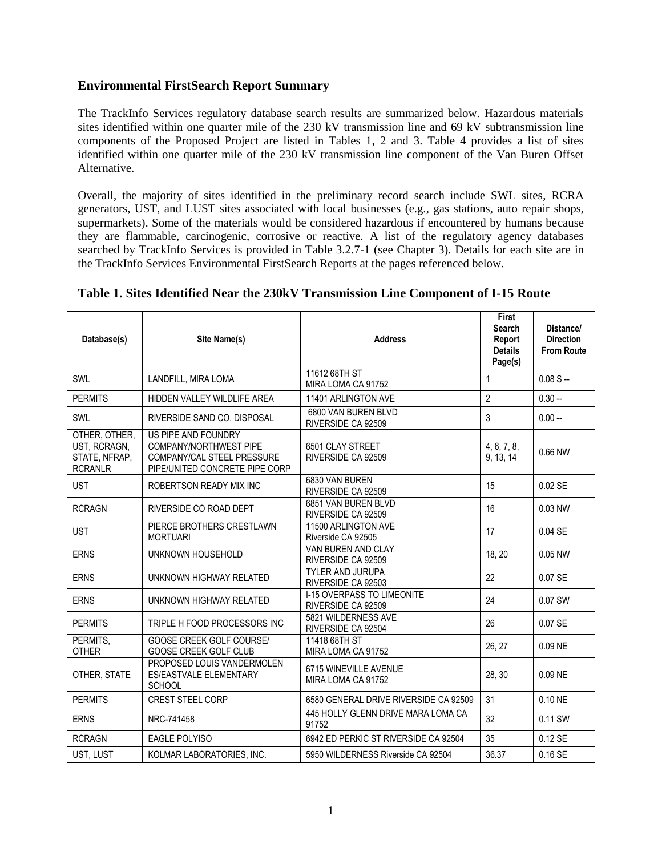### **Environmental FirstSearch Report Summary**

The TrackInfo Services regulatory database search results are summarized below. Hazardous materials sites identified within one quarter mile of the 230 kV transmission line and 69 kV subtransmission line components of the Proposed Project are listed in Tables 1, 2 and 3. Table 4 provides a list of sites identified within one quarter mile of the 230 kV transmission line component of the Van Buren Offset Alternative.

Overall, the majority of sites identified in the preliminary record search include SWL sites, RCRA generators, UST, and LUST sites associated with local businesses (e.g., gas stations, auto repair shops, supermarkets). Some of the materials would be considered hazardous if encountered by humans because they are flammable, carcinogenic, corrosive or reactive. A list of the regulatory agency databases searched by TrackInfo Services is provided in Table 3.2.7-1 (see Chapter 3). Details for each site are in the TrackInfo Services Environmental FirstSearch Reports at the pages referenced below.

| Database(s)                                                      | Site Name(s)                                                                                                  | <b>Address</b>                                          | <b>First</b><br><b>Search</b><br>Report<br><b>Details</b><br>Page(s) | Distance/<br><b>Direction</b><br><b>From Route</b> |
|------------------------------------------------------------------|---------------------------------------------------------------------------------------------------------------|---------------------------------------------------------|----------------------------------------------------------------------|----------------------------------------------------|
| <b>SWL</b>                                                       | LANDFILL, MIRA LOMA                                                                                           | 11612 68TH ST<br>MIRA LOMA CA 91752                     | 1                                                                    | $0.08 S -$                                         |
| <b>PERMITS</b>                                                   | HIDDEN VALLEY WILDLIFE AREA                                                                                   | 11401 ARLINGTON AVE                                     | $\overline{2}$                                                       | $0.30 -$                                           |
| SWL                                                              | RIVERSIDE SAND CO. DISPOSAL                                                                                   | 6800 VAN BUREN BLVD<br>RIVERSIDE CA 92509               | 3                                                                    | $0.00 -$                                           |
| OTHER, OTHER,<br>UST, RCRAGN,<br>STATE, NFRAP,<br><b>RCRANLR</b> | US PIPE AND FOUNDRY<br>COMPANY/NORTHWEST PIPE<br>COMPANY/CAL STEEL PRESSURE<br>PIPE/UNITED CONCRETE PIPE CORP | 6501 CLAY STREET<br>RIVERSIDE CA 92509                  | 4, 6, 7, 8,<br>9, 13, 14                                             | 0.66 NW                                            |
| <b>UST</b>                                                       | ROBERTSON READY MIX INC                                                                                       | 6830 VAN BUREN<br>RIVERSIDE CA 92509                    | 15                                                                   | 0.02 SE                                            |
| <b>RCRAGN</b>                                                    | RIVERSIDE CO ROAD DEPT                                                                                        | 6851 VAN BUREN BLVD<br>RIVERSIDE CA 92509               | 16                                                                   | 0.03 NW                                            |
| <b>UST</b>                                                       | PIERCE BROTHERS CRESTLAWN<br><b>MORTUARI</b>                                                                  | 11500 ARLINGTON AVE<br>Riverside CA 92505               | 17                                                                   | 0.04 SE                                            |
| <b>ERNS</b>                                                      | UNKNOWN HOUSEHOLD                                                                                             | VAN BUREN AND CLAY<br>RIVERSIDE CA 92509                | 18, 20                                                               | 0.05 NW                                            |
| <b>ERNS</b>                                                      | UNKNOWN HIGHWAY RELATED                                                                                       | <b>TYLER AND JURUPA</b><br>RIVERSIDE CA 92503           | 22                                                                   | 0.07 SE                                            |
| <b>ERNS</b>                                                      | UNKNOWN HIGHWAY RELATED                                                                                       | <b>I-15 OVERPASS TO LIMEONITE</b><br>RIVERSIDE CA 92509 | 24                                                                   | 0.07 SW                                            |
| <b>PERMITS</b>                                                   | TRIPLE H FOOD PROCESSORS INC                                                                                  | 5821 WILDERNESS AVE<br>RIVERSIDE CA 92504               | 26                                                                   | 0.07 SE                                            |
| PERMITS.<br><b>OTHER</b>                                         | GOOSE CREEK GOLF COURSE/<br>GOOSE CREEK GOLF CLUB                                                             | 11418 68TH ST<br>MIRA LOMA CA 91752                     | 26, 27                                                               | 0.09 NE                                            |
| OTHER, STATE                                                     | PROPOSED LOUIS VANDERMOLEN<br><b>ES/EASTVALE ELEMENTARY</b><br><b>SCHOOL</b>                                  | 6715 WINEVILLE AVENUE<br>MIRA LOMA CA 91752             | 28, 30                                                               | 0.09 NE                                            |
| <b>PERMITS</b>                                                   | <b>CREST STEEL CORP</b>                                                                                       | 6580 GENERAL DRIVE RIVERSIDE CA 92509                   | 31                                                                   | 0.10 NE                                            |
| <b>ERNS</b>                                                      | NRC-741458                                                                                                    | 445 HOLLY GLENN DRIVE MARA LOMA CA<br>91752             | 32                                                                   | 0.11 SW                                            |
| <b>RCRAGN</b>                                                    | <b>EAGLE POLYISO</b>                                                                                          | 6942 ED PERKIC ST RIVERSIDE CA 92504                    | 35                                                                   | 0.12 SE                                            |
| UST, LUST                                                        | KOLMAR LABORATORIES, INC.                                                                                     | 5950 WILDERNESS Riverside CA 92504                      | 36.37                                                                | 0.16 SE                                            |

#### **Table 1. Sites Identified Near the 230kV Transmission Line Component of I-15 Route**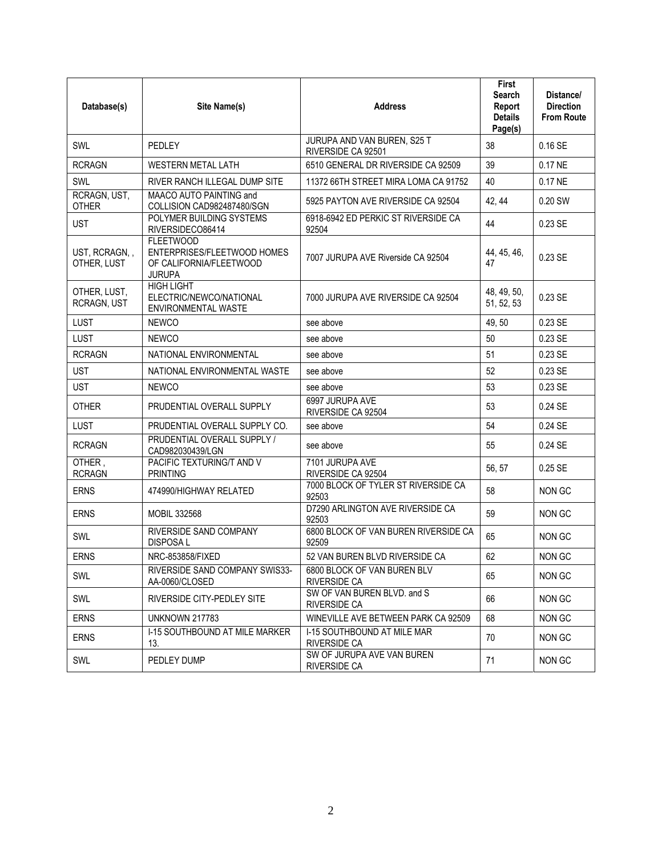| Database(s)                  | Site Name(s)                                                                                | <b>Address</b>                                    | <b>First</b><br>Search<br>Report<br><b>Details</b><br>Page(s) | Distance/<br><b>Direction</b><br><b>From Route</b> |
|------------------------------|---------------------------------------------------------------------------------------------|---------------------------------------------------|---------------------------------------------------------------|----------------------------------------------------|
| SWL                          | PFDI FY                                                                                     | JURUPA AND VAN BUREN, S25 T<br>RIVERSIDE CA 92501 | 38                                                            | 0.16SE                                             |
| <b>RCRAGN</b>                | <b>WESTERN METAL LATH</b>                                                                   | 6510 GENERAL DR RIVERSIDE CA 92509                | 39                                                            | $0.17$ NE                                          |
| SWL                          | RIVER RANCH ILLEGAL DUMP SITE                                                               | 11372 66TH STREET MIRA LOMA CA 91752              | 40                                                            | 0.17 NE                                            |
| RCRAGN, UST,<br><b>OTHER</b> | MAACO AUTO PAINTING and<br>COLLISION CAD982487480/SGN                                       | 5925 PAYTON AVE RIVERSIDE CA 92504                | 42, 44                                                        | 0.20 SW                                            |
| <b>UST</b>                   | POLYMER BUILDING SYSTEMS<br>RIVERSIDECO86414                                                | 6918-6942 ED PERKIC ST RIVERSIDE CA<br>92504      | 44                                                            | 0.23 SE                                            |
| UST, RCRAGN,,<br>OTHER, LUST | <b>FLEETWOOD</b><br>ENTERPRISES/FLEETWOOD HOMES<br>OF CALIFORNIA/FLEETWOOD<br><b>JURUPA</b> | 7007 JURUPA AVE Riverside CA 92504                | 44, 45, 46,<br>47                                             | 0.23 SE                                            |
| OTHER, LUST,<br>RCRAGN, UST  | <b>HIGH LIGHT</b><br>ELECTRIC/NEWCO/NATIONAL<br>ENVIRONMENTAL WASTE                         | 7000 JURUPA AVE RIVERSIDE CA 92504                | 48, 49, 50,<br>51, 52, 53                                     | 0.23 SE                                            |
| <b>LUST</b>                  | <b>NEWCO</b>                                                                                | see above                                         | 49, 50                                                        | 0.23 SE                                            |
| <b>LUST</b>                  | <b>NEWCO</b>                                                                                | see above                                         | 50                                                            | 0.23 SE                                            |
| <b>RCRAGN</b>                | NATIONAL ENVIRONMENTAL                                                                      | see above                                         | 51                                                            | 0.23 SE                                            |
| <b>UST</b>                   | NATIONAL ENVIRONMENTAL WASTE                                                                | see above                                         | 52                                                            | 0.23 SE                                            |
| <b>UST</b>                   | <b>NEWCO</b>                                                                                | see above                                         | 53                                                            | 0.23 SE                                            |
| <b>OTHER</b>                 | PRUDENTIAL OVERALL SUPPLY                                                                   | 6997 JURUPA AVE<br>RIVERSIDE CA 92504             | 53                                                            | 0.24 SE                                            |
| <b>LUST</b>                  | PRUDENTIAL OVERALL SUPPLY CO.                                                               | see above                                         | 54                                                            | 0.24 SE                                            |
| <b>RCRAGN</b>                | PRUDENTIAL OVERALL SUPPLY /<br>CAD982030439/LGN                                             | see above                                         | 55                                                            | 0.24 SE                                            |
| OTHER,<br><b>RCRAGN</b>      | PACIFIC TEXTURING/T AND V<br><b>PRINTING</b>                                                | 7101 JURUPA AVE<br>RIVERSIDE CA 92504             | 56, 57                                                        | 0.25 SE                                            |
| <b>ERNS</b>                  | 474990/HIGHWAY RELATED                                                                      | 7000 BLOCK OF TYLER ST RIVERSIDE CA<br>92503      | 58                                                            | NON GC                                             |
| <b>ERNS</b>                  | <b>MOBIL 332568</b>                                                                         | D7290 ARLINGTON AVE RIVERSIDE CA<br>92503         | 59                                                            | <b>NON GC</b>                                      |
| SWL                          | RIVERSIDE SAND COMPANY<br><b>DISPOSAL</b>                                                   | 6800 BLOCK OF VAN BUREN RIVERSIDE CA<br>92509     | 65                                                            | <b>NON GC</b>                                      |
| <b>ERNS</b>                  | NRC-853858/FIXED                                                                            | 52 VAN BUREN BLVD RIVERSIDE CA                    | 62                                                            | <b>NON GC</b>                                      |
| SWL                          | RIVERSIDE SAND COMPANY SWIS33-<br>AA-0060/CLOSED                                            | 6800 BLOCK OF VAN BUREN BLV<br>RIVERSIDE CA       | 65                                                            | NON GC                                             |
| SWL                          | RIVERSIDE CITY-PEDLEY SITE                                                                  | SW OF VAN BUREN BLVD, and S<br>RIVERSIDE CA       | 66                                                            | NON GC                                             |
| <b>ERNS</b>                  | <b>UNKNOWN 217783</b>                                                                       | WINEVILLE AVE BETWEEN PARK CA 92509               | 68                                                            | NON GC                                             |
| <b>ERNS</b>                  | <b>I-15 SOUTHBOUND AT MILE MARKER</b><br>13.                                                | I-15 SOUTHBOUND AT MILE MAR<br>RIVERSIDE CA       | 70                                                            | NON GC                                             |
| SWL                          | PEDLEY DUMP                                                                                 | SW OF JURUPA AVE VAN BUREN<br>RIVERSIDE CA        | 71                                                            | NON GC                                             |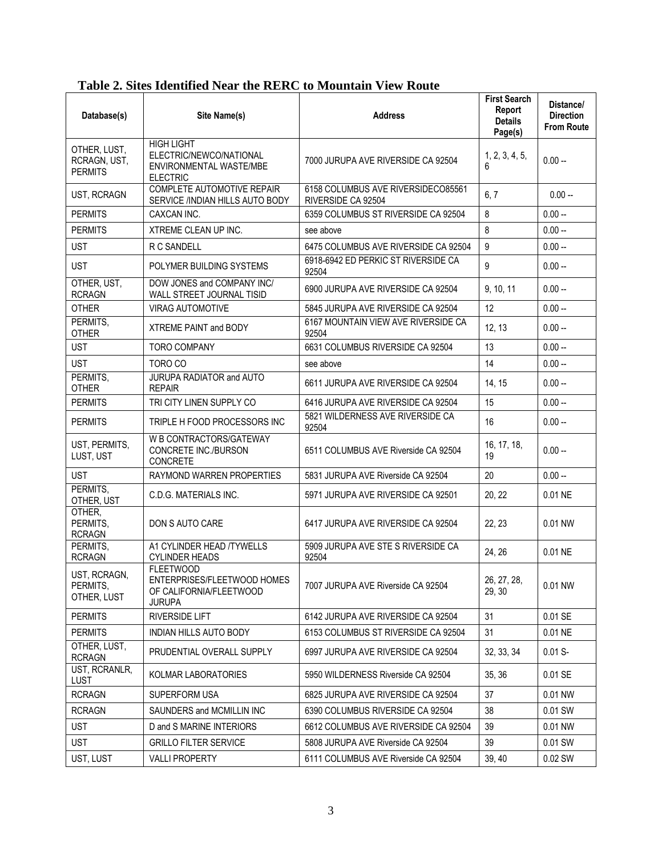| Database(s)                                    | Site Name(s)                                                                                | <b>Address</b>                                           | <b>First Search</b><br>Report<br><b>Details</b><br>Page(s) | Distance/<br><b>Direction</b><br><b>From Route</b> |
|------------------------------------------------|---------------------------------------------------------------------------------------------|----------------------------------------------------------|------------------------------------------------------------|----------------------------------------------------|
| OTHER, LUST,<br>RCRAGN, UST,<br><b>PERMITS</b> | <b>HIGH LIGHT</b><br>ELECTRIC/NEWCO/NATIONAL<br>ENVIRONMENTAL WASTE/MBE<br><b>ELECTRIC</b>  | 7000 JURUPA AVE RIVERSIDE CA 92504                       | 1, 2, 3, 4, 5,<br>6                                        | $0.00 -$                                           |
| UST, RCRAGN                                    | COMPLETE AUTOMOTIVE REPAIR<br>SERVICE /INDIAN HILLS AUTO BODY                               | 6158 COLUMBUS AVE RIVERSIDECO85561<br>RIVERSIDE CA 92504 | 6, 7                                                       | $0.00 -$                                           |
| <b>PERMITS</b>                                 | CAXCAN INC.                                                                                 | 6359 COLUMBUS ST RIVERSIDE CA 92504                      | 8                                                          | $0.00 -$                                           |
| <b>PERMITS</b>                                 | XTREME CLEAN UP INC.                                                                        | see above                                                | 8                                                          | $0.00 -$                                           |
| <b>UST</b>                                     | <b>R C SANDELL</b>                                                                          | 6475 COLUMBUS AVE RIVERSIDE CA 92504                     | 9                                                          | $0.00 -$                                           |
| <b>UST</b>                                     | POLYMER BUILDING SYSTEMS                                                                    | 6918-6942 ED PERKIC ST RIVERSIDE CA<br>92504             | 9                                                          | $0.00 -$                                           |
| OTHER, UST,<br><b>RCRAGN</b>                   | DOW JONES and COMPANY INC/<br>WALL STREET JOURNAL TISID                                     | 6900 JURUPA AVE RIVERSIDE CA 92504                       | 9, 10, 11                                                  | $0.00 -$                                           |
| <b>OTHER</b>                                   | <b>VIRAG AUTOMOTIVE</b>                                                                     | 5845 JURUPA AVE RIVERSIDE CA 92504                       | 12                                                         | $0.00 -$                                           |
| PERMITS,<br><b>OTHER</b>                       | XTREME PAINT and BODY                                                                       | 6167 MOUNTAIN VIEW AVE RIVERSIDE CA<br>92504             | 12, 13                                                     | $0.00 -$                                           |
| <b>UST</b>                                     | <b>TORO COMPANY</b>                                                                         | 6631 COLUMBUS RIVERSIDE CA 92504                         | 13                                                         | $0.00 -$                                           |
| <b>UST</b>                                     | TORO CO                                                                                     | see above                                                | 14                                                         | $0.00 -$                                           |
| PERMITS,<br><b>OTHER</b>                       | JURUPA RADIATOR and AUTO<br><b>REPAIR</b>                                                   | 6611 JURUPA AVE RIVERSIDE CA 92504                       | 14, 15                                                     | $0.00 -$                                           |
| <b>PERMITS</b>                                 | TRI CITY LINEN SUPPLY CO                                                                    | 6416 JURUPA AVE RIVERSIDE CA 92504                       | 15                                                         | $0.00 -$                                           |
| <b>PERMITS</b>                                 | TRIPLE H FOOD PROCESSORS INC                                                                | 5821 WILDERNESS AVE RIVERSIDE CA<br>92504                | 16                                                         | $0.00 -$                                           |
| UST, PERMITS,<br>LUST, UST                     | W B CONTRACTORS/GATEWAY<br>CONCRETE INC./BURSON<br>CONCRETE                                 | 6511 COLUMBUS AVE Riverside CA 92504                     | 16, 17, 18,<br>19                                          | $0.00 -$                                           |
| <b>UST</b>                                     | RAYMOND WARREN PROPERTIES                                                                   | 5831 JURUPA AVE Riverside CA 92504                       | 20                                                         | $0.00 -$                                           |
| PERMITS,<br>OTHER, UST                         | C.D.G. MATERIALS INC.                                                                       | 5971 JURUPA AVE RIVERSIDE CA 92501                       | 20, 22                                                     | 0.01 NE                                            |
| OTHER,<br>PERMITS,<br><b>RCRAGN</b>            | DON S AUTO CARE                                                                             | 6417 JURUPA AVE RIVERSIDE CA 92504                       | 22, 23                                                     | 0.01 NW                                            |
| PERMITS,<br><b>RCRAGN</b>                      | A1 CYLINDER HEAD /TYWELLS<br><b>CYLINDER HEADS</b>                                          | 5909 JURUPA AVE STE S RIVERSIDE CA<br>92504              | 24, 26                                                     | 0.01 NE                                            |
| UST, RCRAGN,<br>PERMITS,<br>OTHER, LUST        | <b>FLEETWOOD</b><br>ENTERPRISES/FLEETWOOD HOMES<br>OF CALIFORNIA/FLEETWOOD<br><b>JURUPA</b> | 7007 JURUPA AVE Riverside CA 92504                       | 26, 27, 28,<br>29, 30                                      | 0.01 NW                                            |
| <b>PERMITS</b>                                 | <b>RIVERSIDE LIFT</b>                                                                       | 6142 JURUPA AVE RIVERSIDE CA 92504                       | 31                                                         | 0.01 SE                                            |
| <b>PERMITS</b>                                 | <b>INDIAN HILLS AUTO BODY</b>                                                               | 6153 COLUMBUS ST RIVERSIDE CA 92504                      | 31                                                         | 0.01 NE                                            |
| OTHER, LUST,<br><b>RCRAGN</b>                  | PRUDENTIAL OVERALL SUPPLY                                                                   | 6997 JURUPA AVE RIVERSIDE CA 92504                       | 32, 33, 34                                                 | $0.01 S -$                                         |
| UST, RCRANLR,<br><b>LUST</b>                   | KOLMAR LABORATORIES                                                                         | 5950 WILDERNESS Riverside CA 92504                       | 35, 36                                                     | 0.01 SE                                            |
| <b>RCRAGN</b>                                  | SUPERFORM USA                                                                               | 6825 JURUPA AVE RIVERSIDE CA 92504                       | 37                                                         | 0.01 NW                                            |
| <b>RCRAGN</b>                                  | SAUNDERS and MCMILLIN INC                                                                   | 6390 COLUMBUS RIVERSIDE CA 92504                         | 38                                                         | 0.01 SW                                            |
| <b>UST</b>                                     | D and S MARINE INTERIORS                                                                    | 6612 COLUMBUS AVE RIVERSIDE CA 92504                     | 39                                                         | 0.01 NW                                            |
| <b>UST</b>                                     | <b>GRILLO FILTER SERVICE</b>                                                                | 5808 JURUPA AVE Riverside CA 92504                       | 39                                                         | 0.01 SW                                            |
| UST, LUST                                      | <b>VALLI PROPERTY</b>                                                                       | 6111 COLUMBUS AVE Riverside CA 92504                     | 39, 40                                                     | 0.02 SW                                            |

## **Table 2. Sites Identified Near the RERC to Mountain View Route**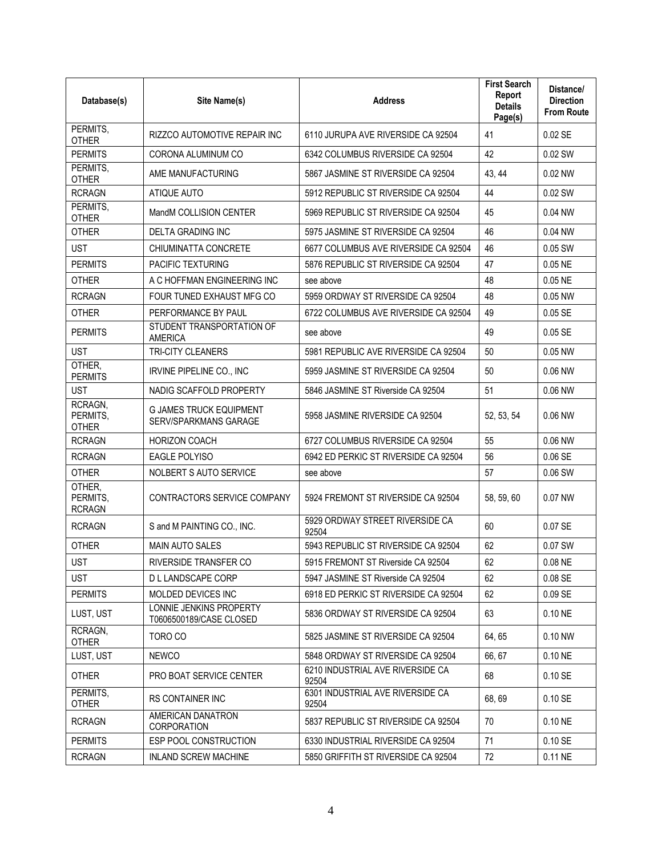| Database(s)                         | Site Name(s)                                                   | <b>Address</b>                            | <b>First Search</b><br>Report<br><b>Details</b><br>Page(s) | Distance/<br><b>Direction</b><br><b>From Route</b> |
|-------------------------------------|----------------------------------------------------------------|-------------------------------------------|------------------------------------------------------------|----------------------------------------------------|
| PERMITS,<br><b>OTHER</b>            | RIZZCO AUTOMOTIVE REPAIR INC                                   | 6110 JURUPA AVE RIVERSIDE CA 92504        | 41                                                         | $0.02$ SE                                          |
| <b>PERMITS</b>                      | CORONA ALUMINUM CO                                             | 6342 COLUMBUS RIVERSIDE CA 92504          | 42                                                         | 0.02 SW                                            |
| PERMITS,<br><b>OTHER</b>            | AME MANUFACTURING                                              | 5867 JASMINE ST RIVERSIDE CA 92504        | 43, 44                                                     | 0.02 NW                                            |
| <b>RCRAGN</b>                       | ATIQUE AUTO                                                    | 5912 REPUBLIC ST RIVERSIDE CA 92504       | 44                                                         | 0.02 SW                                            |
| PERMITS,<br><b>OTHER</b>            | MandM COLLISION CENTER                                         | 5969 REPUBLIC ST RIVERSIDE CA 92504       | 45                                                         | 0.04 NW                                            |
| <b>OTHER</b>                        | <b>DELTA GRADING INC</b>                                       | 5975 JASMINE ST RIVERSIDE CA 92504        | 46                                                         | 0.04 NW                                            |
| <b>UST</b>                          | CHIUMINATTA CONCRETE                                           | 6677 COLUMBUS AVE RIVERSIDE CA 92504      | 46                                                         | 0.05 SW                                            |
| <b>PERMITS</b>                      | <b>PACIFIC TEXTURING</b>                                       | 5876 REPUBLIC ST RIVERSIDE CA 92504       | 47                                                         | 0.05 NE                                            |
| <b>OTHER</b>                        | A C HOFFMAN ENGINEERING INC                                    | see above                                 | 48                                                         | 0.05 NE                                            |
| <b>RCRAGN</b>                       | FOUR TUNED EXHAUST MFG CO                                      | 5959 ORDWAY ST RIVERSIDE CA 92504         | 48                                                         | 0.05 NW                                            |
| <b>OTHER</b>                        | PERFORMANCE BY PAUL                                            | 6722 COLUMBUS AVE RIVERSIDE CA 92504      | 49                                                         | 0.05 SE                                            |
| <b>PERMITS</b>                      | STUDENT TRANSPORTATION OF<br><b>AMERICA</b>                    | see above                                 | 49                                                         | $0.05$ SE                                          |
| <b>UST</b>                          | <b>TRI-CITY CLEANERS</b>                                       | 5981 REPUBLIC AVE RIVERSIDE CA 92504      | 50                                                         | 0.05 NW                                            |
| OTHER,<br><b>PERMITS</b>            | IRVINE PIPELINE CO., INC                                       | 5959 JASMINE ST RIVERSIDE CA 92504        | 50                                                         | 0.06 NW                                            |
| <b>UST</b>                          | NADIG SCAFFOLD PROPERTY                                        | 5846 JASMINE ST Riverside CA 92504        | 51                                                         | 0.06 NW                                            |
| RCRAGN,<br>PERMITS,<br><b>OTHER</b> | <b>G JAMES TRUCK EQUIPMENT</b><br><b>SERV/SPARKMANS GARAGE</b> | 5958 JASMINE RIVERSIDE CA 92504           | 52, 53, 54                                                 | $0.06$ NW                                          |
| <b>RCRAGN</b>                       | <b>HORIZON COACH</b>                                           | 6727 COLUMBUS RIVERSIDE CA 92504          | 55                                                         | 0.06 NW                                            |
| <b>RCRAGN</b>                       | <b>EAGLE POLYISO</b>                                           | 6942 ED PERKIC ST RIVERSIDE CA 92504      | 56                                                         | 0.06 SE                                            |
| <b>OTHER</b>                        | NOLBERT S AUTO SERVICE                                         | see above                                 | 57                                                         | 0.06 SW                                            |
| OTHER,<br>PERMITS,<br><b>RCRAGN</b> | CONTRACTORS SERVICE COMPANY                                    | 5924 FREMONT ST RIVERSIDE CA 92504        | 58, 59, 60                                                 | 0.07 NW                                            |
| <b>RCRAGN</b>                       | S and M PAINTING CO., INC.                                     | 5929 ORDWAY STREET RIVERSIDE CA<br>92504  | 60                                                         | 0.07 SE                                            |
| <b>OTHER</b>                        | <b>MAIN AUTO SALES</b>                                         | 5943 REPUBLIC ST RIVERSIDE CA 92504       | 62                                                         | 0.07 SW                                            |
| <b>UST</b>                          | RIVERSIDE TRANSFER CO                                          | 5915 FREMONT ST Riverside CA 92504        | 62                                                         | 0.08 NE                                            |
| <b>UST</b>                          | D L LANDSCAPE CORP                                             | 5947 JASMINE ST Riverside CA 92504        | 62                                                         | 0.08 SE                                            |
| <b>PERMITS</b>                      | MOLDED DEVICES INC                                             | 6918 ED PERKIC ST RIVERSIDE CA 92504      | 62                                                         | 0.09 SE                                            |
| LUST, UST                           | LONNIE JENKINS PROPERTY<br>T0606500189/CASE CLOSED             | 5836 ORDWAY ST RIVERSIDE CA 92504         | 63                                                         | 0.10 NE                                            |
| RCRAGN.<br><b>OTHER</b>             | TORO CO                                                        | 5825 JASMINE ST RIVERSIDE CA 92504        | 64, 65                                                     | 0.10 NW                                            |
| LUST, UST                           | <b>NEWCO</b>                                                   | 5848 ORDWAY ST RIVERSIDE CA 92504         | 66, 67                                                     | 0.10 NE                                            |
| <b>OTHER</b>                        | PRO BOAT SERVICE CENTER                                        | 6210 INDUSTRIAL AVE RIVERSIDE CA<br>92504 | 68                                                         | 0.10SE                                             |
| PERMITS,<br><b>OTHER</b>            | <b>RS CONTAINER INC</b>                                        | 6301 INDUSTRIAL AVE RIVERSIDE CA<br>92504 | 68,69                                                      | 0.10 SE                                            |
| <b>RCRAGN</b>                       | AMERICAN DANATRON<br>CORPORATION                               | 5837 REPUBLIC ST RIVERSIDE CA 92504       | 70                                                         | $0.10$ NE                                          |
| <b>PERMITS</b>                      | ESP POOL CONSTRUCTION                                          | 6330 INDUSTRIAL RIVERSIDE CA 92504        | 71                                                         | 0.10 SE                                            |
| <b>RCRAGN</b>                       | <b>INLAND SCREW MACHINE</b>                                    | 5850 GRIFFITH ST RIVERSIDE CA 92504       | 72                                                         | 0.11 NE                                            |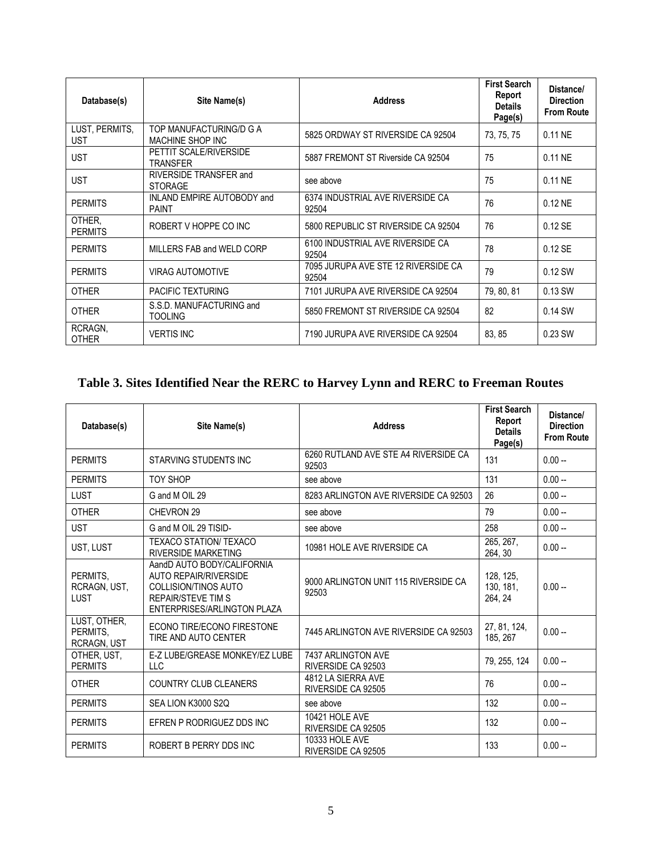| Database(s)                  | Site Name(s)                                | <b>Address</b>                               | <b>First Search</b><br>Report<br><b>Details</b><br>Page(s) | Distance/<br><b>Direction</b><br><b>From Route</b> |
|------------------------------|---------------------------------------------|----------------------------------------------|------------------------------------------------------------|----------------------------------------------------|
| LUST, PERMITS,<br><b>UST</b> | TOP MANUFACTURING/D G A<br>MACHINE SHOP INC | 5825 ORDWAY ST RIVERSIDE CA 92504            | 73, 75, 75                                                 | 0.11 NE                                            |
| <b>UST</b>                   | PETTIT SCALE/RIVERSIDE<br><b>TRANSFER</b>   | 5887 FREMONT ST Riverside CA 92504           | 75                                                         | 0.11 NE                                            |
| <b>UST</b>                   | RIVERSIDE TRANSFER and<br><b>STORAGE</b>    | see above                                    | 75                                                         | 0.11 NE                                            |
| <b>PERMITS</b>               | INLAND EMPIRE AUTOBODY and<br><b>PAINT</b>  | 6374 INDUSTRIAL AVE RIVERSIDE CA<br>92504    | 76                                                         | $0.12$ NE                                          |
| OTHER.<br><b>PERMITS</b>     | ROBERT V HOPPE CO INC                       | 5800 REPUBLIC ST RIVERSIDE CA 92504          | 76                                                         | $0.12$ SE                                          |
| <b>PERMITS</b>               | MILLERS FAB and WELD CORP                   | 6100 INDUSTRIAL AVE RIVERSIDE CA<br>92504    | 78                                                         | $0.12$ SE                                          |
| <b>PERMITS</b>               | <b>VIRAG AUTOMOTIVE</b>                     | 7095 JURUPA AVE STE 12 RIVERSIDE CA<br>92504 | 79                                                         | 0.12 SW                                            |
| <b>OTHER</b>                 | <b>PACIFIC TEXTURING</b>                    | 7101 JURUPA AVE RIVERSIDE CA 92504           | 79, 80, 81                                                 | 0.13 SW                                            |
| <b>OTHER</b>                 | S.S.D. MANUFACTURING and<br><b>TOOLING</b>  | 5850 FREMONT ST RIVERSIDE CA 92504           | 82                                                         | 0.14 SW                                            |
| RCRAGN,<br><b>OTHER</b>      | <b>VERTIS INC</b>                           | 7190 JURUPA AVE RIVERSIDE CA 92504           | 83, 85                                                     | 0.23 SW                                            |

## **Table 3. Sites Identified Near the RERC to Harvey Lynn and RERC to Freeman Routes**

| Database(s)                                    | Site Name(s)                                                                                                                                          | <b>Address</b>                                | <b>First Search</b><br>Report<br><b>Details</b><br>Page(s) | Distance/<br><b>Direction</b><br><b>From Route</b> |
|------------------------------------------------|-------------------------------------------------------------------------------------------------------------------------------------------------------|-----------------------------------------------|------------------------------------------------------------|----------------------------------------------------|
| <b>PERMITS</b>                                 | STARVING STUDENTS INC                                                                                                                                 | 6260 RUTLAND AVE STE A4 RIVERSIDE CA<br>92503 | 131                                                        | $0.00 -$                                           |
| <b>PERMITS</b>                                 | <b>TOY SHOP</b>                                                                                                                                       | see above                                     | 131                                                        | $0.00 -$                                           |
| <b>LUST</b>                                    | G and M OIL 29                                                                                                                                        | 8283 ARLINGTON AVE RIVERSIDE CA 92503         | 26                                                         | $0.00 -$                                           |
| <b>OTHER</b>                                   | CHEVRON 29                                                                                                                                            | see above                                     | 79                                                         | $0.00 -$                                           |
| <b>UST</b>                                     | G and M OIL 29 TISID-                                                                                                                                 | see above                                     | 258                                                        | $0.00 -$                                           |
| UST, LUST                                      | <b>TEXACO STATION/ TEXACO</b><br><b>RIVERSIDE MARKETING</b>                                                                                           | 10981 HOLE AVE RIVERSIDE CA                   | 265, 267,<br>264, 30                                       | $0.00 -$                                           |
| PERMITS,<br>RCRAGN, UST,<br><b>LUST</b>        | AandD AUTO BODY/CALIFORNIA<br><b>AUTO REPAIR/RIVERSIDE</b><br><b>COLLISION/TINOS AUTO</b><br><b>REPAIR/STEVE TIM S</b><br>ENTERPRISES/ARLINGTON PLAZA | 9000 ARLINGTON UNIT 115 RIVERSIDE CA<br>92503 | 128, 125,<br>130, 181,<br>264, 24                          | $0.00 -$                                           |
| LUST, OTHER,<br>PERMITS,<br><b>RCRAGN, UST</b> | ECONO TIRE/ECONO FIRESTONE<br>TIRE AND AUTO CENTER                                                                                                    | 7445 ARLINGTON AVE RIVERSIDE CA 92503         | 27, 81, 124,<br>185, 267                                   | $0.00 -$                                           |
| OTHER, UST,<br><b>PERMITS</b>                  | E-Z LUBE/GREASE MONKEY/EZ LUBE<br><b>LLC</b>                                                                                                          | 7437 ARLINGTON AVE<br>RIVERSIDE CA 92503      | 79, 255, 124                                               | $0.00 -$                                           |
| <b>OTHER</b>                                   | <b>COUNTRY CLUB CLEANERS</b>                                                                                                                          | 4812 LA SIERRA AVE<br>RIVERSIDE CA 92505      | 76                                                         | $0.00 -$                                           |
| <b>PERMITS</b>                                 | SEA LION K3000 S2Q                                                                                                                                    | see above                                     | 132                                                        | $0.00 -$                                           |
| <b>PERMITS</b>                                 | EFREN P RODRIGUEZ DDS INC                                                                                                                             | 10421 HOLE AVE<br>RIVERSIDE CA 92505          | 132                                                        | $0.00 -$                                           |
| <b>PERMITS</b>                                 | ROBERT B PERRY DDS INC                                                                                                                                | 10333 HOLE AVE<br>RIVERSIDE CA 92505          | 133                                                        | $0.00 -$                                           |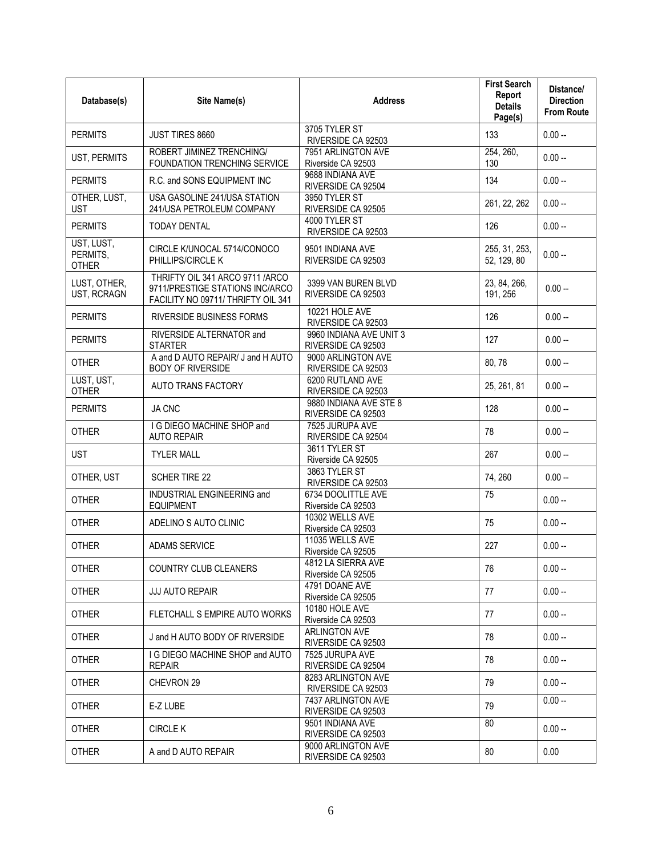| Database(s)                            | Site Name(s)                                                                                             | <b>Address</b>                                | <b>First Search</b><br>Report<br><b>Details</b><br>Page(s) | Distance/<br><b>Direction</b><br><b>From Route</b> |
|----------------------------------------|----------------------------------------------------------------------------------------------------------|-----------------------------------------------|------------------------------------------------------------|----------------------------------------------------|
| <b>PERMITS</b>                         | JUST TIRES 8660                                                                                          | 3705 TYLER ST<br>RIVERSIDE CA 92503           | 133                                                        | $0.00 -$                                           |
| UST, PERMITS                           | ROBERT JIMINEZ TRENCHING/<br>FOUNDATION TRENCHING SERVICE                                                | 7951 ARLINGTON AVE<br>Riverside CA 92503      | 254, 260,<br>130                                           | $0.00 -$                                           |
| <b>PERMITS</b>                         | R.C. and SONS EQUIPMENT INC                                                                              | 9688 INDIANA AVE<br>RIVERSIDE CA 92504        | 134                                                        | $0.00 -$                                           |
| OTHER, LUST,<br><b>UST</b>             | USA GASOLINE 241/USA STATION<br>241/USA PETROLEUM COMPANY                                                | 3950 TYLER ST<br>RIVERSIDE CA 92505           | 261, 22, 262                                               | $0.00 -$                                           |
| <b>PERMITS</b>                         | <b>TODAY DENTAL</b>                                                                                      | 4000 TYLER ST<br>RIVERSIDE CA 92503           | 126                                                        | $0.00 -$                                           |
| UST, LUST,<br>PERMITS,<br><b>OTHER</b> | CIRCLE K/UNOCAL 5714/CONOCO<br>PHILLIPS/CIRCLE K                                                         | 9501 INDIANA AVE<br>RIVERSIDE CA 92503        | 255, 31, 253,<br>52, 129, 80                               | $0.00 -$                                           |
| LUST, OTHER,<br>UST, RCRAGN            | THRIFTY OIL 341 ARCO 9711 /ARCO<br>9711/PRESTIGE STATIONS INC/ARCO<br>FACILITY NO 09711/ THRIFTY OIL 341 | 3399 VAN BUREN BLVD<br>RIVERSIDE CA 92503     | 23, 84, 266,<br>191, 256                                   | $0.00 -$                                           |
| <b>PERMITS</b>                         | RIVERSIDE BUSINESS FORMS                                                                                 | 10221 HOLE AVE<br>RIVERSIDE CA 92503          | 126                                                        | $0.00 -$                                           |
| <b>PERMITS</b>                         | RIVERSIDE ALTERNATOR and<br><b>STARTER</b>                                                               | 9960 INDIANA AVE UNIT 3<br>RIVERSIDE CA 92503 | 127                                                        | $0.00 -$                                           |
| <b>OTHER</b>                           | A and D AUTO REPAIR/ J and H AUTO<br><b>BODY OF RIVERSIDE</b>                                            | 9000 ARLINGTON AVE<br>RIVERSIDE CA 92503      | 80,78                                                      | $0.00 -$                                           |
| LUST, UST,<br><b>OTHER</b>             | AUTO TRANS FACTORY                                                                                       | 6200 RUTLAND AVE<br>RIVERSIDE CA 92503        | 25, 261, 81                                                | $0.00 -$                                           |
| <b>PERMITS</b>                         | JA CNC                                                                                                   | 9880 INDIANA AVE STE 8<br>RIVERSIDE CA 92503  | 128                                                        | $0.00 -$                                           |
| <b>OTHER</b>                           | I G DIEGO MACHINE SHOP and<br><b>AUTO REPAIR</b>                                                         | 7525 JURUPA AVE<br>RIVERSIDE CA 92504         | 78                                                         | $0.00 -$                                           |
| <b>UST</b>                             | <b>TYLER MALL</b>                                                                                        | 3611 TYLER ST<br>Riverside CA 92505           | 267                                                        | $0.00 -$                                           |
| OTHER, UST                             | SCHER TIRE 22                                                                                            | 3863 TYLER ST<br>RIVERSIDE CA 92503           | 74, 260                                                    | $0.00 -$                                           |
| <b>OTHER</b>                           | INDUSTRIAL ENGINEERING and<br><b>EQUIPMENT</b>                                                           | 6734 DOOLITTLE AVE<br>Riverside CA 92503      | 75                                                         | $0.00 -$                                           |
| <b>OTHER</b>                           | ADELINO S AUTO CLINIC                                                                                    | 10302 WELLS AVE<br>Riverside CA 92503         | 75                                                         | $0.00 -$                                           |
| <b>OTHER</b>                           | ADAMS SERVICE                                                                                            | 11035 WELLS AVE<br>Riverside CA 92505         | 227                                                        | $0.00 -$                                           |
| <b>OTHER</b>                           | COUNTRY CLUB CLEANERS                                                                                    | 4812 LA SIERRA AVE<br>Riverside CA 92505      | 76                                                         | $0.00 -$                                           |
| <b>OTHER</b>                           | <b>JJJ AUTO REPAIR</b>                                                                                   | 4791 DOANE AVE<br>Riverside CA 92505          | 77                                                         | $0.00 -$                                           |
| <b>OTHER</b>                           | FLETCHALL S EMPIRE AUTO WORKS                                                                            | 10180 HOLE AVE<br>Riverside CA 92503          | 77                                                         | $0.00 -$                                           |
| <b>OTHER</b>                           | J and H AUTO BODY OF RIVERSIDE                                                                           | ARLINGTON AVE<br>RIVERSIDE CA 92503           | 78                                                         | $0.00 -$                                           |
| <b>OTHER</b>                           | I G DIEGO MACHINE SHOP and AUTO<br><b>REPAIR</b>                                                         | 7525 JURUPA AVE<br>RIVERSIDE CA 92504         | 78                                                         | $0.00 -$                                           |
| <b>OTHER</b>                           | CHEVRON 29                                                                                               | 8283 ARLINGTON AVE<br>RIVERSIDE CA 92503      | 79                                                         | $0.00 -$                                           |
| <b>OTHER</b>                           | E-Z LUBE                                                                                                 | 7437 ARLINGTON AVE<br>RIVERSIDE CA 92503      | 79                                                         | $0.00 -$                                           |
| <b>OTHER</b>                           | <b>CIRCLE K</b>                                                                                          | 9501 INDIANA AVE<br>RIVERSIDE CA 92503        | 80                                                         | $0.00 -$                                           |
| <b>OTHER</b>                           | A and D AUTO REPAIR                                                                                      | 9000 ARLINGTON AVE<br>RIVERSIDE CA 92503      | 80                                                         | 0.00                                               |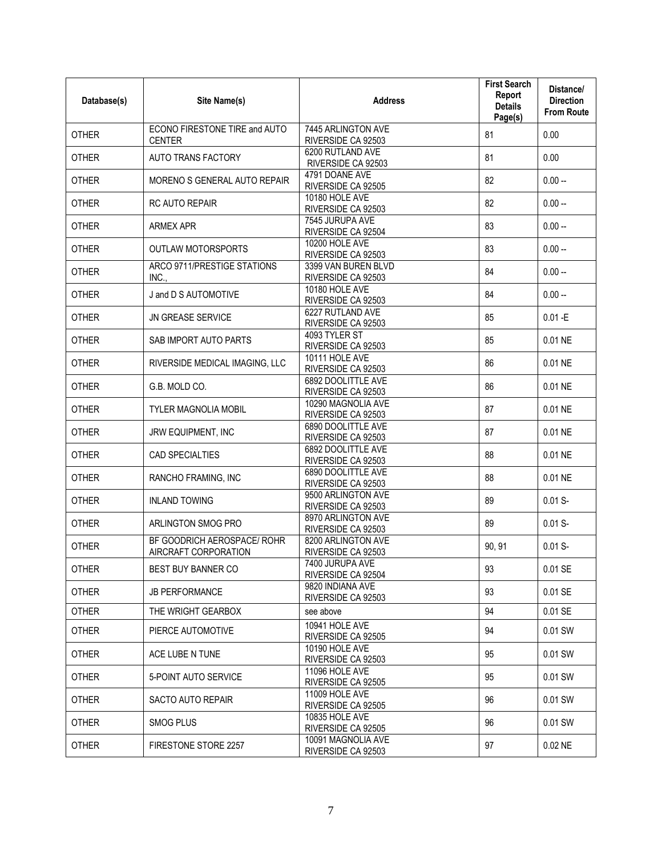| Database(s)  | Site Name(s)                                        | <b>Address</b>                            | <b>First Search</b><br>Report<br><b>Details</b><br>Page(s) | Distance/<br><b>Direction</b><br><b>From Route</b> |
|--------------|-----------------------------------------------------|-------------------------------------------|------------------------------------------------------------|----------------------------------------------------|
| <b>OTHER</b> | ECONO FIRESTONE TIRE and AUTO<br><b>CENTER</b>      | 7445 ARLINGTON AVE<br>RIVERSIDE CA 92503  | 81                                                         | 0.00                                               |
| <b>OTHER</b> | <b>AUTO TRANS FACTORY</b>                           | 6200 RUTLAND AVE<br>RIVERSIDE CA 92503    | 81                                                         | 0.00                                               |
| <b>OTHER</b> | MORENO S GENERAL AUTO REPAIR                        | 4791 DOANE AVE<br>RIVERSIDE CA 92505      | 82                                                         | $0.00 -$                                           |
| <b>OTHER</b> | RC AUTO REPAIR                                      | 10180 HOLE AVE<br>RIVERSIDE CA 92503      | 82                                                         | $0.00 -$                                           |
| <b>OTHER</b> | <b>ARMEX APR</b>                                    | 7545 JURUPA AVE<br>RIVERSIDE CA 92504     | 83                                                         | $0.00 -$                                           |
| <b>OTHER</b> | <b>OUTLAW MOTORSPORTS</b>                           | 10200 HOLE AVE<br>RIVERSIDE CA 92503      | 83                                                         | $0.00 -$                                           |
| <b>OTHER</b> | ARCO 9711/PRESTIGE STATIONS<br>INC.,                | 3399 VAN BUREN BLVD<br>RIVERSIDE CA 92503 | 84                                                         | $0.00 -$                                           |
| <b>OTHER</b> | J and D S AUTOMOTIVE                                | 10180 HOLE AVE<br>RIVERSIDE CA 92503      | 84                                                         | $0.00 -$                                           |
| <b>OTHER</b> | JN GREASE SERVICE                                   | 6227 RUTLAND AVE<br>RIVERSIDE CA 92503    | 85                                                         | $0.01 - E$                                         |
| <b>OTHER</b> | SAB IMPORT AUTO PARTS                               | 4093 TYLER ST<br>RIVERSIDE CA 92503       | 85                                                         | 0.01 NE                                            |
| <b>OTHER</b> | RIVERSIDE MEDICAL IMAGING, LLC                      | 10111 HOLE AVE<br>RIVERSIDE CA 92503      | 86                                                         | 0.01 NE                                            |
| <b>OTHER</b> | G.B. MOLD CO.                                       | 6892 DOOLITTLE AVE<br>RIVERSIDE CA 92503  | 86                                                         | 0.01 NE                                            |
| <b>OTHER</b> | <b>TYLER MAGNOLIA MOBIL</b>                         | 10290 MAGNOLIA AVE<br>RIVERSIDE CA 92503  | 87                                                         | 0.01 NE                                            |
| <b>OTHER</b> | JRW EQUIPMENT, INC                                  | 6890 DOOLITTLE AVE<br>RIVERSIDE CA 92503  | 87                                                         | 0.01 NE                                            |
| <b>OTHER</b> | CAD SPECIALTIES                                     | 6892 DOOLITTLE AVE<br>RIVERSIDE CA 92503  | 88                                                         | 0.01 NE                                            |
| <b>OTHER</b> | RANCHO FRAMING, INC                                 | 6890 DOOLITTLE AVE<br>RIVERSIDE CA 92503  | 88                                                         | 0.01 NE                                            |
| <b>OTHER</b> | <b>INLAND TOWING</b>                                | 9500 ARLINGTON AVE<br>RIVERSIDE CA 92503  | 89                                                         | $0.01 S -$                                         |
| <b>OTHER</b> | ARLINGTON SMOG PRO                                  | 8970 ARLINGTON AVE<br>RIVERSIDE CA 92503  | 89                                                         | $0.01 S -$                                         |
| <b>OTHER</b> | BF GOODRICH AEROSPACE/ ROHR<br>AIRCRAFT CORPORATION | 8200 ARLINGTON AVE<br>RIVERSIDE CA 92503  | 90, 91                                                     | $0.01 S -$                                         |
| <b>OTHER</b> | <b>BEST BUY BANNER CO</b>                           | 7400 JURUPA AVE<br>RIVERSIDE CA 92504     | 93                                                         | 0.01 SE                                            |
| <b>OTHER</b> | <b>JB PERFORMANCE</b>                               | 9820 INDIANA AVE<br>RIVERSIDE CA 92503    | 93                                                         | 0.01 SE                                            |
| <b>OTHER</b> | THE WRIGHT GEARBOX                                  | see above                                 | 94                                                         | 0.01 SE                                            |
| <b>OTHER</b> | PIERCE AUTOMOTIVE                                   | 10941 HOI F AVF<br>RIVERSIDE CA 92505     | 94                                                         | 0.01 SW                                            |
| <b>OTHER</b> | ACE LUBE N TUNE                                     | 10190 HOLE AVE<br>RIVERSIDE CA 92503      | 95                                                         | 0.01 SW                                            |
| <b>OTHER</b> | 5-POINT AUTO SERVICE                                | 11096 HOLE AVE<br>RIVERSIDE CA 92505      | 95                                                         | 0.01 SW                                            |
| <b>OTHER</b> | <b>SACTO AUTO REPAIR</b>                            | 11009 HOLE AVE<br>RIVERSIDE CA 92505      | 96                                                         | 0.01 SW                                            |
| <b>OTHER</b> | SMOG PLUS                                           | 10835 HOLE AVE<br>RIVERSIDE CA 92505      | 96                                                         | 0.01 SW                                            |
| <b>OTHER</b> | FIRESTONE STORE 2257                                | 10091 MAGNOLIA AVE<br>RIVERSIDE CA 92503  | 97                                                         | $0.02$ NE                                          |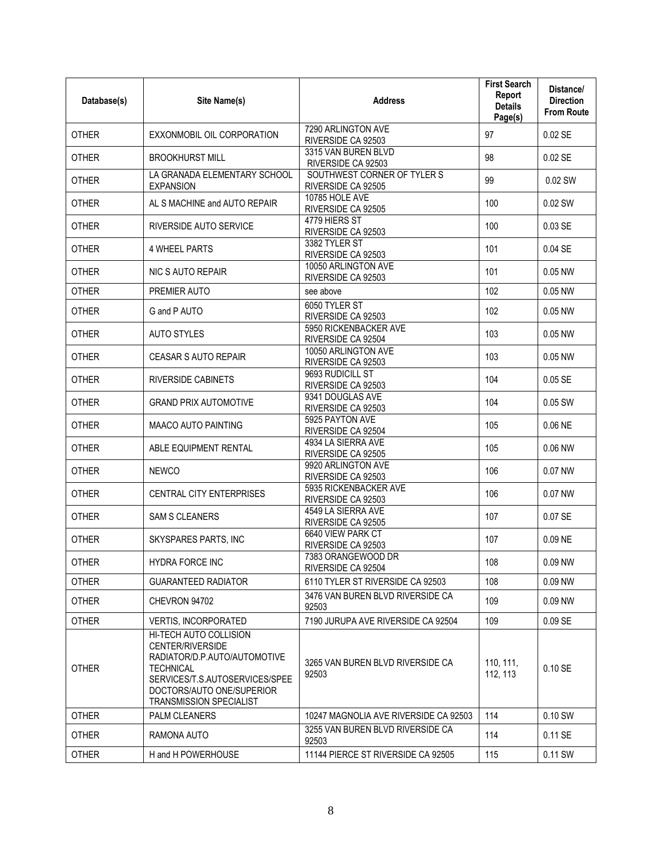| Database(s)  | Site Name(s)                                                                                                                                                                                    | <b>Address</b>                                    | <b>First Search</b><br>Report<br><b>Details</b><br>Page(s) | Distance/<br><b>Direction</b><br><b>From Route</b> |
|--------------|-------------------------------------------------------------------------------------------------------------------------------------------------------------------------------------------------|---------------------------------------------------|------------------------------------------------------------|----------------------------------------------------|
| <b>OTHER</b> | EXXONMOBIL OIL CORPORATION                                                                                                                                                                      | 7290 ARLINGTON AVE<br>RIVERSIDE CA 92503          | 97                                                         | 0.02 SE                                            |
| <b>OTHER</b> | <b>BROOKHURST MILL</b>                                                                                                                                                                          | 3315 VAN BUREN BLVD<br>RIVERSIDE CA 92503         | 98                                                         | $0.02$ SE                                          |
| <b>OTHER</b> | LA GRANADA ELEMENTARY SCHOOL<br><b>EXPANSION</b>                                                                                                                                                | SOUTHWEST CORNER OF TYLER S<br>RIVERSIDE CA 92505 | 99                                                         | 0.02 SW                                            |
| <b>OTHER</b> | AL S MACHINE and AUTO REPAIR                                                                                                                                                                    | 10785 HOLE AVE<br>RIVERSIDE CA 92505              | 100                                                        | $0.02$ SW                                          |
| <b>OTHER</b> | RIVERSIDE AUTO SERVICE                                                                                                                                                                          | 4779 HIERS ST<br>RIVERSIDE CA 92503               | 100                                                        | 0.03 SE                                            |
| <b>OTHER</b> | <b>4 WHEEL PARTS</b>                                                                                                                                                                            | 3382 TYLER ST<br>RIVERSIDE CA 92503               | 101                                                        | 0.04 SE                                            |
| <b>OTHER</b> | NIC S AUTO REPAIR                                                                                                                                                                               | 10050 ARLINGTON AVE<br>RIVERSIDE CA 92503         | 101                                                        | 0.05 NW                                            |
| <b>OTHER</b> | PREMIER AUTO                                                                                                                                                                                    | see above                                         | 102                                                        | 0.05 NW                                            |
| <b>OTHER</b> | G and P AUTO                                                                                                                                                                                    | 6050 TYLER ST<br>RIVERSIDE CA 92503               | 102                                                        | 0.05 NW                                            |
| <b>OTHER</b> | <b>AUTO STYLES</b>                                                                                                                                                                              | 5950 RICKENBACKER AVE<br>RIVERSIDE CA 92504       | 103                                                        | 0.05 NW                                            |
| <b>OTHER</b> | CEASAR S AUTO REPAIR                                                                                                                                                                            | 10050 ARLINGTON AVE<br>RIVERSIDE CA 92503         | 103                                                        | 0.05 NW                                            |
| <b>OTHER</b> | <b>RIVERSIDE CABINETS</b>                                                                                                                                                                       | 9693 RUDICILL ST<br>RIVERSIDE CA 92503            | 104                                                        | 0.05 SE                                            |
| <b>OTHER</b> | <b>GRAND PRIX AUTOMOTIVE</b>                                                                                                                                                                    | 9341 DOUGLAS AVE<br>RIVERSIDE CA 92503            | 104                                                        | 0.05 SW                                            |
| <b>OTHER</b> | MAACO AUTO PAINTING                                                                                                                                                                             | 5925 PAYTON AVE<br>RIVERSIDE CA 92504             | 105                                                        | 0.06 NE                                            |
| <b>OTHER</b> | ABLE EQUIPMENT RENTAL                                                                                                                                                                           | 4934 LA SIERRA AVE<br>RIVERSIDE CA 92505          | 105                                                        | 0.06 NW                                            |
| <b>OTHER</b> | <b>NEWCO</b>                                                                                                                                                                                    | 9920 ARLINGTON AVE<br>RIVERSIDE CA 92503          | 106                                                        | 0.07 NW                                            |
| <b>OTHER</b> | <b>CENTRAL CITY ENTERPRISES</b>                                                                                                                                                                 | 5935 RICKENBACKER AVE<br>RIVERSIDE CA 92503       | 106                                                        | 0.07 NW                                            |
| <b>OTHER</b> | <b>SAM S CLEANERS</b>                                                                                                                                                                           | 4549 LA SIERRA AVE<br>RIVERSIDE CA 92505          | 107                                                        | 0.07 SE                                            |
| <b>OTHER</b> | SKYSPARES PARTS, INC                                                                                                                                                                            | 6640 VIEW PARK CT<br>RIVERSIDE CA 92503           | 107                                                        | 0.09 NE                                            |
| <b>OTHER</b> | HYDRA FORCE INC                                                                                                                                                                                 | 7383 ORANGEWOOD DR<br>RIVERSIDE CA 92504          | 108                                                        | 0.09 NW                                            |
| <b>OTHER</b> | <b>GUARANTEED RADIATOR</b>                                                                                                                                                                      | 6110 TYLER ST RIVERSIDE CA 92503                  | 108                                                        | 0.09 NW                                            |
| <b>OTHER</b> | CHEVRON 94702                                                                                                                                                                                   | 3476 VAN BUREN BLVD RIVERSIDE CA<br>92503         | 109                                                        | 0.09 NW                                            |
| <b>OTHER</b> | <b>VERTIS, INCORPORATED</b>                                                                                                                                                                     | 7190 JURUPA AVE RIVERSIDE CA 92504                | 109                                                        | 0.09SE                                             |
| <b>OTHER</b> | HI-TECH AUTO COLLISION<br>CENTER/RIVERSIDE<br>RADIATOR/D.P.AUTO/AUTOMOTIVE<br><b>TECHNICAL</b><br>SERVICES/T.S.AUTOSERVICES/SPEE<br>DOCTORS/AUTO ONE/SUPERIOR<br><b>TRANSMISSION SPECIALIST</b> | 3265 VAN BUREN BLVD RIVERSIDE CA<br>92503         | 110, 111,<br>112, 113                                      | 0.10 SE                                            |
| <b>OTHER</b> | <b>PALM CLEANERS</b>                                                                                                                                                                            | 10247 MAGNOLIA AVE RIVERSIDE CA 92503             | 114                                                        | 0.10 SW                                            |
| <b>OTHER</b> | RAMONA AUTO                                                                                                                                                                                     | 3255 VAN BUREN BLVD RIVERSIDE CA<br>92503         | 114                                                        | 0.11 SE                                            |
| <b>OTHER</b> | H and H POWERHOUSE                                                                                                                                                                              | 11144 PIERCE ST RIVERSIDE CA 92505                | 115                                                        | 0.11 SW                                            |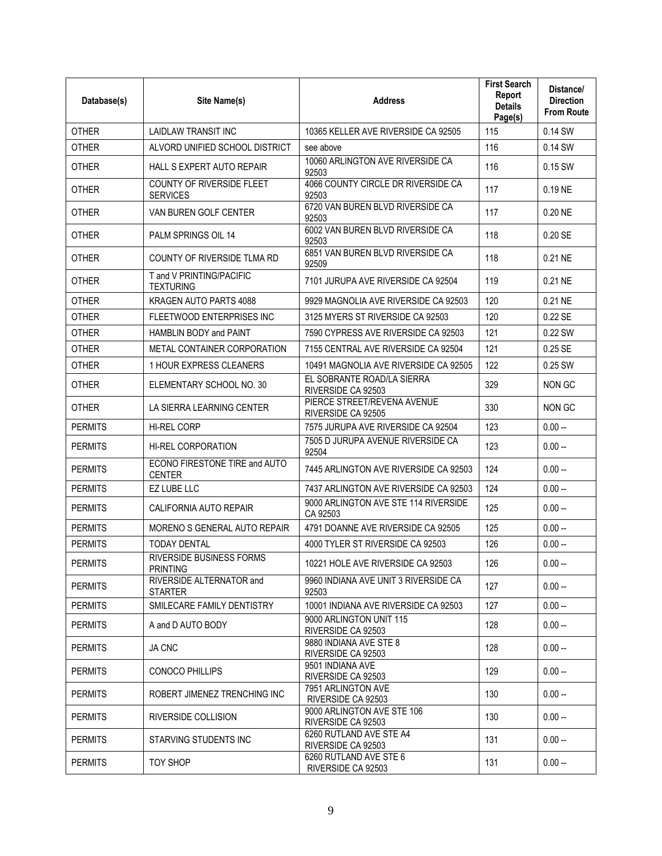| Database(s)    | Site Name(s)                                       | <b>Address</b>                                    | <b>First Search</b><br>Report<br><b>Details</b><br>Page(s) | Distance/<br><b>Direction</b><br><b>From Route</b> |
|----------------|----------------------------------------------------|---------------------------------------------------|------------------------------------------------------------|----------------------------------------------------|
| <b>OTHER</b>   | LAIDLAW TRANSIT INC                                | 10365 KELLER AVE RIVERSIDE CA 92505               | 115                                                        | 0.14 SW                                            |
| <b>OTHER</b>   | ALVORD UNIFIED SCHOOL DISTRICT                     | see above                                         | 116                                                        | 0.14 SW                                            |
| <b>OTHER</b>   | HALL S EXPERT AUTO REPAIR                          | 10060 ARLINGTON AVE RIVERSIDE CA<br>92503         | 116                                                        | 0.15 SW                                            |
| OTHER          | COUNTY OF RIVERSIDE FLEET<br><b>SERVICES</b>       | 4066 COUNTY CIRCLE DR RIVERSIDE CA<br>92503       | 117                                                        | 0.19 NE                                            |
| <b>OTHER</b>   | VAN BUREN GOLF CENTER                              | 6720 VAN BUREN BLVD RIVERSIDE CA<br>92503         | 117                                                        | 0.20 NE                                            |
| <b>OTHER</b>   | PALM SPRINGS OIL 14                                | 6002 VAN BUREN BLVD RIVERSIDE CA<br>92503         | 118                                                        | 0.20 SE                                            |
| <b>OTHER</b>   | COUNTY OF RIVERSIDE TLMA RD                        | 6851 VAN BUREN BLVD RIVERSIDE CA<br>92509         | 118                                                        | 0.21 NE                                            |
| <b>OTHER</b>   | T and V PRINTING/PACIFIC<br><b>TEXTURING</b>       | 7101 JURUPA AVE RIVERSIDE CA 92504                | 119                                                        | 0.21 NE                                            |
| <b>OTHER</b>   | KRAGEN AUTO PARTS 4088                             | 9929 MAGNOLIA AVE RIVERSIDE CA 92503              | 120                                                        | 0.21 NE                                            |
| <b>OTHER</b>   | FLEETWOOD ENTERPRISES INC                          | 3125 MYERS ST RIVERSIDE CA 92503                  | 120                                                        | 0.22 SE                                            |
| <b>OTHER</b>   | HAMBLIN BODY and PAINT                             | 7590 CYPRESS AVE RIVERSIDE CA 92503               | 121                                                        | 0.22 SW                                            |
| <b>OTHER</b>   | METAL CONTAINER CORPORATION                        | 7155 CENTRAL AVE RIVERSIDE CA 92504               | 121                                                        | 0.25 SE                                            |
| <b>OTHER</b>   | 1 HOUR EXPRESS CLEANERS                            | 10491 MAGNOLIA AVE RIVERSIDE CA 92505             | 122                                                        | 0.25 SW                                            |
| <b>OTHER</b>   | ELEMENTARY SCHOOL NO. 30                           | EL SOBRANTE ROAD/LA SIERRA<br>RIVERSIDE CA 92503  | 329                                                        | NON GC                                             |
| <b>OTHER</b>   | LA SIERRA LEARNING CENTER                          | PIERCE STREET/REVENA AVENUE<br>RIVERSIDE CA 92505 | 330                                                        | NON GC                                             |
| <b>PERMITS</b> | HI-REL CORP                                        | 7575 JURUPA AVE RIVERSIDE CA 92504                | 123                                                        | $0.00 -$                                           |
| <b>PERMITS</b> | HI-REL CORPORATION                                 | 7505 D JURUPA AVENUE RIVERSIDE CA<br>92504        | 123                                                        | $0.00 -$                                           |
| <b>PERMITS</b> | ECONO FIRESTONE TIRE and AUTO<br><b>CENTER</b>     | 7445 ARLINGTON AVE RIVERSIDE CA 92503             | 124                                                        | $0.00 -$                                           |
| <b>PERMITS</b> | EZ LUBE LLC                                        | 7437 ARLINGTON AVE RIVERSIDE CA 92503             | 124                                                        | $0.00 -$                                           |
| <b>PERMITS</b> | CALIFORNIA AUTO REPAIR                             | 9000 ARLINGTON AVE STE 114 RIVERSIDE<br>CA 92503  | 125                                                        | $0.00 -$                                           |
| <b>PERMITS</b> | MORENO S GENERAL AUTO REPAIR                       | 4791 DOANNE AVE RIVERSIDE CA 92505                | 125                                                        | $0.00 -$                                           |
| <b>PERMITS</b> | <b>TODAY DENTAL</b>                                | 4000 TYLER ST RIVERSIDE CA 92503                  | 126                                                        | $0.00 -$                                           |
| <b>PERMITS</b> | <b>RIVERSIDE BUSINESS FORMS</b><br><b>PRINTING</b> | 10221 HOLE AVE RIVERSIDE CA 92503                 | 126                                                        | $0.00 -$                                           |
| <b>PERMITS</b> | RIVERSIDE ALTERNATOR and<br><b>STARTER</b>         | 9960 INDIANA AVE UNIT 3 RIVERSIDE CA<br>92503     | 127                                                        | $0.00 -$                                           |
| <b>PERMITS</b> | SMILECARE FAMILY DENTISTRY                         | 10001 INDIANA AVE RIVERSIDE CA 92503              | 127                                                        | $0.00 -$                                           |
| <b>PERMITS</b> | A and D AUTO BODY                                  | 9000 ARLINGTON UNIT 115<br>RIVERSIDE CA 92503     | 128                                                        | $0.00 -$                                           |
| <b>PERMITS</b> | <b>JA CNC</b>                                      | 9880 INDIANA AVE STE 8<br>RIVERSIDE CA 92503      | 128                                                        | $0.00 -$                                           |
| <b>PERMITS</b> | <b>CONOCO PHILLIPS</b>                             | 9501 INDIANA AVE<br>RIVERSIDE CA 92503            | 129                                                        | $0.00 -$                                           |
| <b>PERMITS</b> | ROBERT JIMENEZ TRENCHING INC                       | 7951 ARLINGTON AVE<br>RIVERSIDE CA 92503          | 130                                                        | $0.00 -$                                           |
| <b>PERMITS</b> | RIVERSIDE COLLISION                                | 9000 ARLINGTON AVE STE 106<br>RIVERSIDE CA 92503  | 130                                                        | $0.00 -$                                           |
| <b>PERMITS</b> | STARVING STUDENTS INC                              | 6260 RUTLAND AVE STE A4<br>RIVERSIDE CA 92503     | 131                                                        | $0.00 -$                                           |
| <b>PERMITS</b> | <b>TOY SHOP</b>                                    | 6260 RUTLAND AVE STE 6<br>RIVERSIDE CA 92503      | 131                                                        | $0.00 -$                                           |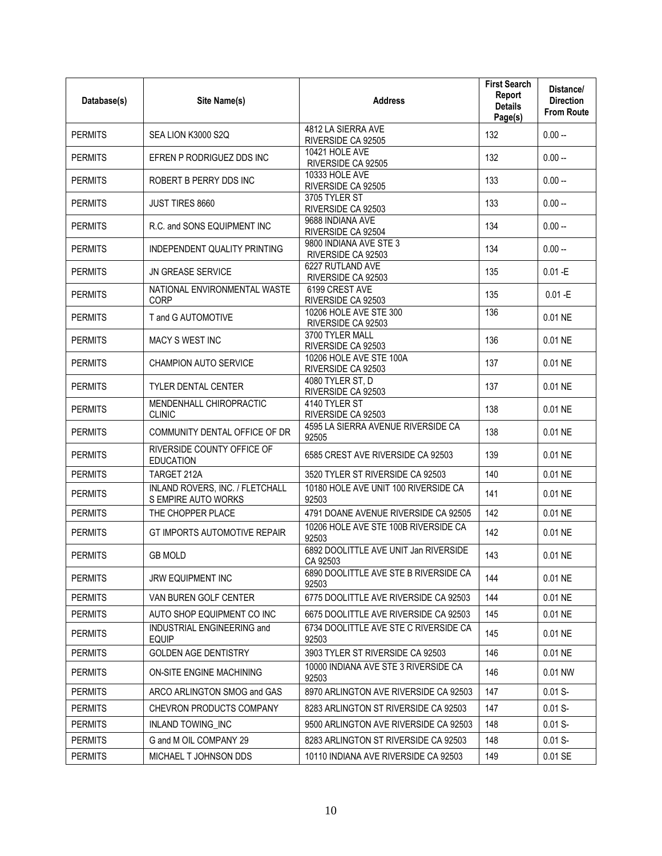| Database(s)    | Site Name(s)                                           | <b>Address</b>                                    | <b>First Search</b><br>Report<br><b>Details</b><br>Page(s) | Distance/<br><b>Direction</b><br><b>From Route</b> |
|----------------|--------------------------------------------------------|---------------------------------------------------|------------------------------------------------------------|----------------------------------------------------|
| <b>PERMITS</b> | SEA LION K3000 S2Q                                     | 4812 LA SIERRA AVE<br>RIVERSIDE CA 92505          | 132                                                        | $0.00 -$                                           |
| <b>PERMITS</b> | EFREN P RODRIGUEZ DDS INC                              | 10421 HOLE AVE<br>RIVERSIDE CA 92505              | 132                                                        | $0.00 -$                                           |
| <b>PERMITS</b> | ROBERT B PERRY DDS INC                                 | 10333 HOLE AVE<br>RIVERSIDE CA 92505              | 133                                                        | $0.00 -$                                           |
| <b>PERMITS</b> | JUST TIRES 8660                                        | 3705 TYLER ST<br>RIVERSIDE CA 92503               | 133                                                        | $0.00 -$                                           |
| <b>PERMITS</b> | R.C. and SONS EQUIPMENT INC                            | 9688 INDIANA AVE<br>RIVERSIDE CA 92504            | 134                                                        | $0.00 -$                                           |
| <b>PERMITS</b> | INDEPENDENT QUALITY PRINTING                           | 9800 INDIANA AVE STE 3<br>RIVERSIDE CA 92503      | 134                                                        | $0.00 -$                                           |
| <b>PERMITS</b> | <b>JN GREASE SERVICE</b>                               | 6227 RUTLAND AVE<br>RIVERSIDE CA 92503            | 135                                                        | $0.01 - E$                                         |
| <b>PERMITS</b> | NATIONAL ENVIRONMENTAL WASTE<br>CORP                   | 6199 CREST AVE<br>RIVERSIDE CA 92503              | 135                                                        | $0.01 - E$                                         |
| <b>PERMITS</b> | T and G AUTOMOTIVE                                     | 10206 HOLE AVE STE 300<br>RIVERSIDE CA 92503      | 136                                                        | 0.01 NE                                            |
| <b>PERMITS</b> | MACY S WEST INC                                        | 3700 TYLER MALL<br>RIVERSIDE CA 92503             | 136                                                        | 0.01 NE                                            |
| <b>PERMITS</b> | <b>CHAMPION AUTO SERVICE</b>                           | 10206 HOLE AVE STE 100A<br>RIVERSIDE CA 92503     | 137                                                        | 0.01 NE                                            |
| <b>PERMITS</b> | <b>TYLER DENTAL CENTER</b>                             | 4080 TYLER ST, D<br>RIVERSIDE CA 92503            | 137                                                        | 0.01 NE                                            |
| <b>PERMITS</b> | MENDENHALL CHIROPRACTIC<br><b>CLINIC</b>               | 4140 TYLER ST<br>RIVERSIDE CA 92503               | 138                                                        | 0.01 NE                                            |
| <b>PERMITS</b> | COMMUNITY DENTAL OFFICE OF DR                          | 4595 LA SIERRA AVENUE RIVERSIDE CA<br>92505       | 138                                                        | 0.01 NE                                            |
| <b>PERMITS</b> | RIVERSIDE COUNTY OFFICE OF<br><b>EDUCATION</b>         | 6585 CREST AVE RIVERSIDE CA 92503                 | 139                                                        | 0.01 NE                                            |
| <b>PERMITS</b> | TARGET 212A                                            | 3520 TYLER ST RIVERSIDE CA 92503                  | 140                                                        | 0.01 NE                                            |
| <b>PERMITS</b> | INLAND ROVERS, INC. / FLETCHALL<br>S EMPIRE AUTO WORKS | 10180 HOLE AVE UNIT 100 RIVERSIDE CA<br>92503     | 141                                                        | 0.01 NE                                            |
| <b>PERMITS</b> | THE CHOPPER PLACE                                      | 4791 DOANE AVENUE RIVERSIDE CA 92505              | 142                                                        | 0.01 NE                                            |
| <b>PERMITS</b> | <b>GT IMPORTS AUTOMOTIVE REPAIR</b>                    | 10206 HOLE AVE STE 100B RIVERSIDE CA<br>92503     | 142                                                        | 0.01 NE                                            |
| <b>PERMITS</b> | <b>GB MOLD</b>                                         | 6892 DOOLITTLE AVE UNIT Jan RIVERSIDE<br>CA 92503 | 143                                                        | 0.01 NE                                            |
| <b>PERMITS</b> | <b>JRW EQUIPMENT INC</b>                               | 6890 DOOLITTLE AVE STE B RIVERSIDE CA<br>92503    | 144                                                        | 0.01 NE                                            |
| <b>PERMITS</b> | VAN BUREN GOLF CENTER                                  | 6775 DOOLITTLE AVE RIVERSIDE CA 92503             | 144                                                        | 0.01 NE                                            |
| <b>PERMITS</b> | AUTO SHOP EQUIPMENT CO INC                             | 6675 DOOLITTLE AVE RIVERSIDE CA 92503             | 145                                                        | 0.01 NE                                            |
| <b>PERMITS</b> | INDUSTRIAL ENGINEERING and<br><b>EQUIP</b>             | 6734 DOOLITTLE AVE STE C RIVERSIDE CA<br>92503    | 145                                                        | 0.01 NE                                            |
| <b>PERMITS</b> | <b>GOLDEN AGE DENTISTRY</b>                            | 3903 TYLER ST RIVERSIDE CA 92503                  | 146                                                        | 0.01 NE                                            |
| <b>PERMITS</b> | ON-SITE ENGINE MACHINING                               | 10000 INDIANA AVE STE 3 RIVERSIDE CA<br>92503     | 146                                                        | 0.01 NW                                            |
| <b>PERMITS</b> | ARCO ARLINGTON SMOG and GAS                            | 8970 ARLINGTON AVE RIVERSIDE CA 92503             | 147                                                        | $0.01 S -$                                         |
| <b>PERMITS</b> | CHEVRON PRODUCTS COMPANY                               | 8283 ARLINGTON ST RIVERSIDE CA 92503              | 147                                                        | $0.01 S -$                                         |
| <b>PERMITS</b> | INLAND TOWING INC                                      | 9500 ARLINGTON AVE RIVERSIDE CA 92503             | 148                                                        | $0.01 S -$                                         |
| <b>PERMITS</b> | G and M OIL COMPANY 29                                 | 8283 ARLINGTON ST RIVERSIDE CA 92503              | 148                                                        | $0.01 S -$                                         |
| <b>PERMITS</b> | MICHAEL T JOHNSON DDS                                  | 10110 INDIANA AVE RIVERSIDE CA 92503              | 149                                                        | 0.01 SE                                            |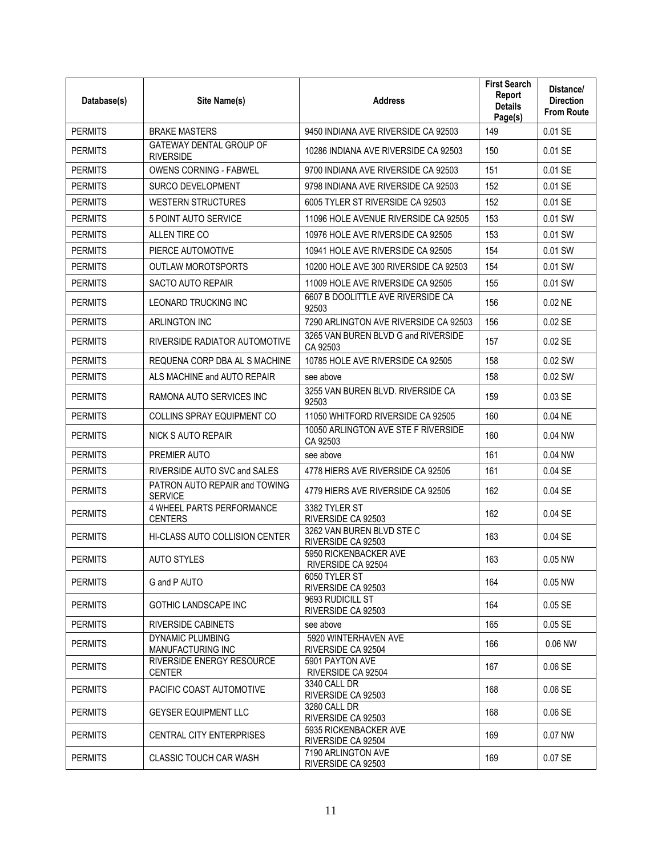| Database(s)    | Site Name(s)                                       | <b>Address</b>                                  | <b>First Search</b><br>Report<br><b>Details</b><br>Page(s) | Distance/<br><b>Direction</b><br><b>From Route</b> |
|----------------|----------------------------------------------------|-------------------------------------------------|------------------------------------------------------------|----------------------------------------------------|
| <b>PERMITS</b> | <b>BRAKE MASTERS</b>                               | 9450 INDIANA AVE RIVERSIDE CA 92503             | 149                                                        | 0.01 SE                                            |
| <b>PERMITS</b> | <b>GATEWAY DENTAL GROUP OF</b><br><b>RIVERSIDE</b> | 10286 INDIANA AVE RIVERSIDE CA 92503            | 150                                                        | 0.01 SE                                            |
| <b>PERMITS</b> | <b>OWENS CORNING - FABWEL</b>                      | 9700 INDIANA AVE RIVERSIDE CA 92503             | 151                                                        | 0.01 SE                                            |
| <b>PERMITS</b> | <b>SURCO DEVELOPMENT</b>                           | 9798 INDIANA AVE RIVERSIDE CA 92503             | 152                                                        | 0.01 SE                                            |
| <b>PERMITS</b> | WESTERN STRUCTURES                                 | 6005 TYLER ST RIVERSIDE CA 92503                | 152                                                        | 0.01 SE                                            |
| <b>PERMITS</b> | 5 POINT AUTO SERVICE                               | 11096 HOLE AVENUE RIVERSIDE CA 92505            | 153                                                        | 0.01 SW                                            |
| <b>PERMITS</b> | ALLEN TIRE CO                                      | 10976 HOLE AVE RIVERSIDE CA 92505               | 153                                                        | 0.01 SW                                            |
| <b>PERMITS</b> | PIERCE AUTOMOTIVE                                  | 10941 HOLE AVE RIVERSIDE CA 92505               | 154                                                        | 0.01 SW                                            |
| <b>PERMITS</b> | <b>OUTLAW MOROTSPORTS</b>                          | 10200 HOLE AVE 300 RIVERSIDE CA 92503           | 154                                                        | 0.01 SW                                            |
| <b>PERMITS</b> | <b>SACTO AUTO REPAIR</b>                           | 11009 HOLE AVE RIVERSIDE CA 92505               | 155                                                        | 0.01 SW                                            |
| <b>PERMITS</b> | <b>LEONARD TRUCKING INC</b>                        | 6607 B DOOLITTLE AVE RIVERSIDE CA<br>92503      | 156                                                        | $0.02$ NE                                          |
| <b>PERMITS</b> | <b>ARLINGTON INC</b>                               | 7290 ARLINGTON AVE RIVERSIDE CA 92503           | 156                                                        | 0.02 SE                                            |
| <b>PERMITS</b> | RIVERSIDE RADIATOR AUTOMOTIVE                      | 3265 VAN BUREN BLVD G and RIVERSIDE<br>CA 92503 | 157                                                        | $0.02$ SE                                          |
| <b>PERMITS</b> | REQUENA CORP DBA AL S MACHINE                      | 10785 HOLE AVE RIVERSIDE CA 92505               | 158                                                        | 0.02 SW                                            |
| <b>PERMITS</b> | ALS MACHINE and AUTO REPAIR                        | see above                                       | 158                                                        | 0.02 SW                                            |
| <b>PERMITS</b> | RAMONA AUTO SERVICES INC                           | 3255 VAN BUREN BLVD. RIVERSIDE CA<br>92503      | 159                                                        | 0.03 SE                                            |
| <b>PERMITS</b> | <b>COLLINS SPRAY EQUIPMENT CO</b>                  | 11050 WHITFORD RIVERSIDE CA 92505               | 160                                                        | 0.04 NE                                            |
| <b>PERMITS</b> | NICK S AUTO REPAIR                                 | 10050 ARLINGTON AVE STE F RIVERSIDE<br>CA 92503 | 160                                                        | 0.04 NW                                            |
| <b>PERMITS</b> | PREMIER AUTO                                       | see above                                       | 161                                                        | 0.04 NW                                            |
| <b>PERMITS</b> | RIVERSIDE AUTO SVC and SALES                       | 4778 HIERS AVE RIVERSIDE CA 92505               | 161                                                        | 0.04 SE                                            |
| <b>PERMITS</b> | PATRON AUTO REPAIR and TOWING<br><b>SERVICE</b>    | 4779 HIERS AVE RIVERSIDE CA 92505               | 162                                                        | 0.04 SE                                            |
| <b>PERMITS</b> | 4 WHEEL PARTS PERFORMANCE<br><b>CENTERS</b>        | 3382 TYLER ST<br>RIVERSIDE CA 92503             | 162                                                        | 0.04 SE                                            |
| <b>PERMITS</b> | HI-CLASS AUTO COLLISION CENTER                     | 3262 VAN BUREN BLVD STE C<br>RIVERSIDE CA 92503 | 163                                                        | 0.04 SE                                            |
| <b>PERMITS</b> | <b>AUTO STYLES</b>                                 | 5950 RICKENBACKER AVE<br>RIVERSIDE CA 92504     | 163                                                        | 0.05 NW                                            |
| <b>PERMITS</b> | G and P AUTO                                       | 6050 TYLER ST<br>RIVERSIDE CA 92503             | 164                                                        | $0.05$ NW                                          |
| <b>PERMITS</b> | GOTHIC LANDSCAPE INC                               | 9693 RUDICILL ST<br>RIVERSIDE CA 92503          | 164                                                        | 0.05 SE                                            |
| <b>PERMITS</b> | <b>RIVERSIDE CABINETS</b>                          | see above                                       | 165                                                        | $0.05$ SE                                          |
| <b>PERMITS</b> | DYNAMIC PLUMBING<br>MANUFACTURING INC              | 5920 WINTFRHAVEN AVE<br>RIVERSIDE CA 92504      | 166                                                        | 0.06 NW                                            |
| <b>PERMITS</b> | RIVERSIDE ENERGY RESOURCE<br><b>CENTER</b>         | 5901 PAYTON AVE<br>RIVERSIDE CA 92504           | 167                                                        | 0.06 SE                                            |
| <b>PERMITS</b> | PACIFIC COAST AUTOMOTIVE                           | 3340 CALL DR<br>RIVERSIDE CA 92503              | 168                                                        | 0.06 SE                                            |
| <b>PERMITS</b> | <b>GEYSER EQUIPMENT LLC</b>                        | 3280 CALL DR<br>RIVERSIDE CA 92503              | 168                                                        | 0.06 SE                                            |
| <b>PERMITS</b> | <b>CENTRAL CITY ENTERPRISES</b>                    | 5935 RICKENBACKER AVE<br>RIVERSIDE CA 92504     | 169                                                        | 0.07 NW                                            |
| <b>PERMITS</b> | CLASSIC TOUCH CAR WASH                             | 7190 ARLINGTON AVE<br>RIVERSIDE CA 92503        | 169                                                        | 0.07 SE                                            |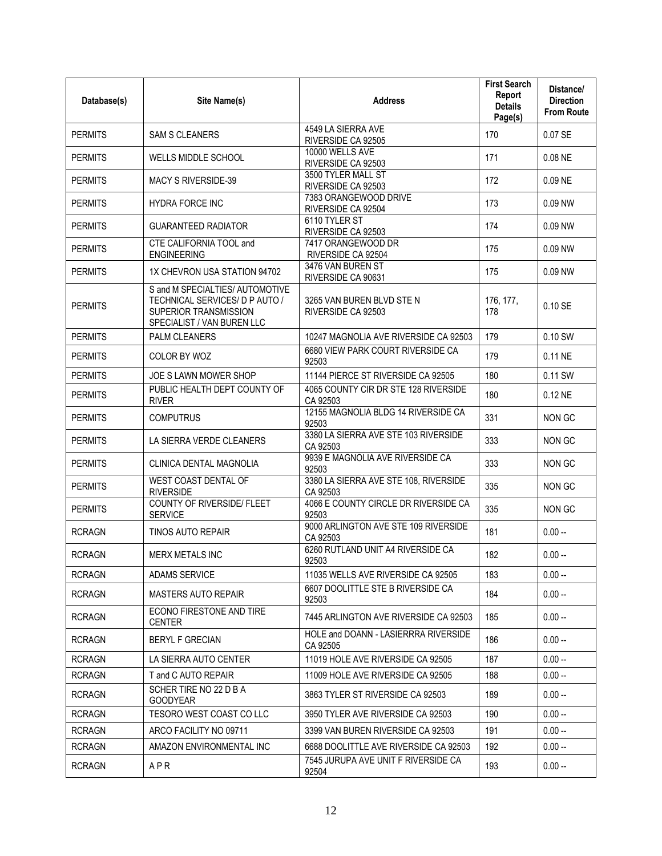| Database(s)    | Site Name(s)                                                                                                             | <b>Address</b>                                    | <b>First Search</b><br>Report<br><b>Details</b><br>Page(s) | Distance/<br><b>Direction</b><br><b>From Route</b> |
|----------------|--------------------------------------------------------------------------------------------------------------------------|---------------------------------------------------|------------------------------------------------------------|----------------------------------------------------|
| <b>PERMITS</b> | <b>SAM S CLEANERS</b>                                                                                                    | 4549 LA SIERRA AVE<br>RIVERSIDE CA 92505          | 170                                                        | 0.07 SE                                            |
| <b>PERMITS</b> | <b>WELLS MIDDLE SCHOOL</b>                                                                                               | 10000 WELLS AVE<br>RIVERSIDE CA 92503             | 171                                                        | 0.08 NE                                            |
| <b>PERMITS</b> | MACY S RIVERSIDE-39                                                                                                      | 3500 TYLER MALL ST<br>RIVERSIDE CA 92503          | 172                                                        | 0.09 NE                                            |
| <b>PERMITS</b> | <b>HYDRA FORCE INC</b>                                                                                                   | 7383 ORANGEWOOD DRIVE<br>RIVERSIDE CA 92504       | 173                                                        | 0.09 NW                                            |
| <b>PERMITS</b> | <b>GUARANTEED RADIATOR</b>                                                                                               | 6110 TYLER ST<br>RIVERSIDE CA 92503               | 174                                                        | 0.09 NW                                            |
| <b>PERMITS</b> | CTE CALIFORNIA TOOL and<br><b>ENGINEERING</b>                                                                            | 7417 ORANGEWOOD DR<br>RIVERSIDE CA 92504          | 175                                                        | 0.09 NW                                            |
| <b>PERMITS</b> | 1X CHEVRON USA STATION 94702                                                                                             | 3476 VAN BUREN ST<br>RIVERSIDE CA 90631           | 175                                                        | 0.09 NW                                            |
| <b>PERMITS</b> | S and M SPECIALTIES/ AUTOMOTIVE<br>TECHNICAL SERVICES/ D P AUTO /<br>SUPERIOR TRANSMISSION<br>SPECIALIST / VAN BUREN LLC | 3265 VAN BUREN BLVD STE N<br>RIVERSIDE CA 92503   | 176, 177,<br>178                                           | 0.10 SE                                            |
| <b>PERMITS</b> | PALM CLEANERS                                                                                                            | 10247 MAGNOLIA AVE RIVERSIDE CA 92503             | 179                                                        | 0.10 SW                                            |
| <b>PERMITS</b> | COLOR BY WOZ                                                                                                             | 6680 VIEW PARK COURT RIVERSIDE CA<br>92503        | 179                                                        | 0.11 NE                                            |
| <b>PERMITS</b> | JOE S LAWN MOWER SHOP                                                                                                    | 11144 PIERCE ST RIVERSIDE CA 92505                | 180                                                        | 0.11 SW                                            |
| <b>PERMITS</b> | PUBLIC HEALTH DEPT COUNTY OF<br><b>RIVER</b>                                                                             | 4065 COUNTY CIR DR STE 128 RIVERSIDE<br>CA 92503  | 180                                                        | 0.12 NE                                            |
| <b>PERMITS</b> | <b>COMPUTRUS</b>                                                                                                         | 12155 MAGNOLIA BLDG 14 RIVERSIDE CA<br>92503      | 331                                                        | NON GC                                             |
| <b>PERMITS</b> | LA SIERRA VERDE CLEANERS                                                                                                 | 3380 LA SIERRA AVE STE 103 RIVERSIDE<br>CA 92503  | 333                                                        | NON GC                                             |
| <b>PERMITS</b> | CLINICA DENTAL MAGNOLIA                                                                                                  | 9939 E MAGNOLIA AVE RIVERSIDE CA<br>92503         | 333                                                        | NON GC                                             |
| <b>PERMITS</b> | WEST COAST DENTAL OF<br><b>RIVERSIDE</b>                                                                                 | 3380 LA SIERRA AVE STE 108, RIVERSIDE<br>CA 92503 | 335                                                        | NON GC                                             |
| <b>PERMITS</b> | <b>COUNTY OF RIVERSIDE/ FLEET</b><br><b>SERVICE</b>                                                                      | 4066 E COUNTY CIRCLE DR RIVERSIDE CA<br>92503     | 335                                                        | NON GC                                             |
| <b>RCRAGN</b>  | <b>TINOS AUTO REPAIR</b>                                                                                                 | 9000 ARLINGTON AVE STE 109 RIVERSIDE<br>CA 92503  | 181                                                        | $0.00 -$                                           |
| <b>RCRAGN</b>  | MERX METALS INC                                                                                                          | 6260 RUTLAND UNIT A4 RIVERSIDE CA<br>92503        | 182                                                        | $0.00 -$                                           |
| <b>RCRAGN</b>  | ADAMS SERVICE                                                                                                            | 11035 WELLS AVE RIVERSIDE CA 92505                | 183                                                        | $0.00 -$                                           |
| <b>RCRAGN</b>  | MASTERS AUTO REPAIR                                                                                                      | 6607 DOOLITTLE STE B RIVERSIDE CA<br>92503        | 184                                                        | $0.00 -$                                           |
| <b>RCRAGN</b>  | ECONO FIRESTONE AND TIRE<br><b>CENTER</b>                                                                                | 7445 ARLINGTON AVE RIVERSIDE CA 92503             | 185                                                        | $0.00 -$                                           |
| <b>RCRAGN</b>  | <b>BERYL F GRECIAN</b>                                                                                                   | HOLE and DOANN - LASIERRRA RIVERSIDE<br>CA 92505  | 186                                                        | $0.00 -$                                           |
| <b>RCRAGN</b>  | LA SIERRA AUTO CENTER                                                                                                    | 11019 HOLE AVE RIVERSIDE CA 92505                 | 187                                                        | $0.00 -$                                           |
| <b>RCRAGN</b>  | T and C AUTO REPAIR                                                                                                      | 11009 HOLE AVE RIVERSIDE CA 92505                 | 188                                                        | $0.00 -$                                           |
| <b>RCRAGN</b>  | SCHER TIRE NO 22 D B A<br><b>GOODYEAR</b>                                                                                | 3863 TYLER ST RIVERSIDE CA 92503                  | 189                                                        | $0.00 -$                                           |
| <b>RCRAGN</b>  | TESORO WEST COAST CO LLC                                                                                                 | 3950 TYLER AVE RIVERSIDE CA 92503                 | 190                                                        | $0.00 -$                                           |
| <b>RCRAGN</b>  | ARCO FACILITY NO 09711                                                                                                   | 3399 VAN BUREN RIVERSIDE CA 92503                 | 191                                                        | $0.00 -$                                           |
| <b>RCRAGN</b>  | AMAZON ENVIRONMENTAL INC                                                                                                 | 6688 DOOLITTLE AVE RIVERSIDE CA 92503             | 192                                                        | $0.00 -$                                           |
| <b>RCRAGN</b>  | APR                                                                                                                      | 7545 JURUPA AVE UNIT F RIVERSIDE CA<br>92504      | 193                                                        | $0.00 -$                                           |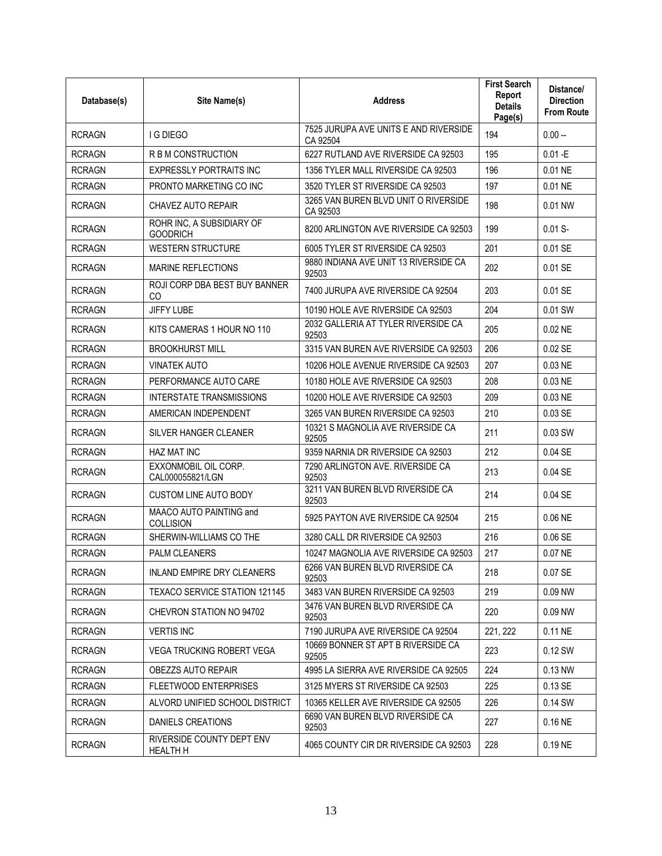| Database(s)   | Site Name(s)                                 | <b>Address</b>                                    | <b>First Search</b><br>Report<br><b>Details</b><br>Page(s) | Distance/<br><b>Direction</b><br><b>From Route</b> |
|---------------|----------------------------------------------|---------------------------------------------------|------------------------------------------------------------|----------------------------------------------------|
| <b>RCRAGN</b> | <b>I G DIEGO</b>                             | 7525 JURUPA AVE UNITS E AND RIVERSIDE<br>CA 92504 | 194                                                        | $0.00 -$                                           |
| <b>RCRAGN</b> | R B M CONSTRUCTION                           | 6227 RUTLAND AVE RIVERSIDE CA 92503               | 195                                                        | $0.01 - E$                                         |
| <b>RCRAGN</b> | <b>EXPRESSLY PORTRAITS INC</b>               | 1356 TYLER MALL RIVERSIDE CA 92503                | 196                                                        | 0.01 NE                                            |
| <b>RCRAGN</b> | PRONTO MARKETING CO INC                      | 3520 TYLER ST RIVERSIDE CA 92503                  | 197                                                        | 0.01 NE                                            |
| <b>RCRAGN</b> | CHAVEZ AUTO REPAIR                           | 3265 VAN BUREN BLVD UNIT O RIVERSIDE<br>CA 92503  | 198                                                        | 0.01 NW                                            |
| <b>RCRAGN</b> | ROHR INC, A SUBSIDIARY OF<br><b>GOODRICH</b> | 8200 ARLINGTON AVE RIVERSIDE CA 92503             | 199                                                        | $0.01 S -$                                         |
| <b>RCRAGN</b> | <b>WESTERN STRUCTURE</b>                     | 6005 TYLER ST RIVERSIDE CA 92503                  | 201                                                        | 0.01 SE                                            |
| <b>RCRAGN</b> | <b>MARINE REFLECTIONS</b>                    | 9880 INDIANA AVE UNIT 13 RIVERSIDE CA<br>92503    | 202                                                        | 0.01 SE                                            |
| <b>RCRAGN</b> | ROJI CORP DBA BEST BUY BANNER<br>CO.         | 7400 JURUPA AVE RIVERSIDE CA 92504                | 203                                                        | 0.01 SE                                            |
| <b>RCRAGN</b> | <b>JIFFY LUBE</b>                            | 10190 HOLE AVE RIVERSIDE CA 92503                 | 204                                                        | 0.01 SW                                            |
| <b>RCRAGN</b> | KITS CAMERAS 1 HOUR NO 110                   | 2032 GALLERIA AT TYLER RIVERSIDE CA<br>92503      | 205                                                        | $0.02$ NE                                          |
| <b>RCRAGN</b> | <b>BROOKHURST MILL</b>                       | 3315 VAN BUREN AVE RIVERSIDE CA 92503             | 206                                                        | 0.02 SE                                            |
| <b>RCRAGN</b> | <b>VINATEK AUTO</b>                          | 10206 HOLE AVENUE RIVERSIDE CA 92503              | 207                                                        | 0.03 NE                                            |
| <b>RCRAGN</b> | PERFORMANCE AUTO CARE                        | 10180 HOLE AVE RIVERSIDE CA 92503                 | 208                                                        | 0.03 NE                                            |
| <b>RCRAGN</b> | INTERSTATE TRANSMISSIONS                     | 10200 HOLE AVE RIVERSIDE CA 92503                 | 209                                                        | 0.03 NE                                            |
| <b>RCRAGN</b> | AMERICAN INDEPENDENT                         | 3265 VAN BUREN RIVERSIDE CA 92503                 | 210                                                        | 0.03 SE                                            |
| <b>RCRAGN</b> | SILVER HANGER CLEANER                        | 10321 S MAGNOLIA AVE RIVERSIDE CA<br>92505        | 211                                                        | 0.03 SW                                            |
| <b>RCRAGN</b> | HAZ MAT INC                                  | 9359 NARNIA DR RIVERSIDE CA 92503                 | 212                                                        | 0.04 SE                                            |
| <b>RCRAGN</b> | EXXONMOBIL OIL CORP.<br>CAL000055821/LGN     | 7290 ARLINGTON AVE, RIVERSIDE CA<br>92503         | 213                                                        | 0.04 SE                                            |
| <b>RCRAGN</b> | <b>CUSTOM LINE AUTO BODY</b>                 | 3211 VAN BUREN BLVD RIVERSIDE CA<br>92503         | 214                                                        | 0.04 SE                                            |
| <b>RCRAGN</b> | MAACO AUTO PAINTING and<br><b>COLLISION</b>  | 5925 PAYTON AVE RIVERSIDE CA 92504                | 215                                                        | 0.06 NE                                            |
| <b>RCRAGN</b> | SHERWIN-WILLIAMS CO THE                      | 3280 CALL DR RIVERSIDE CA 92503                   | 216                                                        | 0.06 SE                                            |
| <b>RCRAGN</b> | <b>PALM CLEANERS</b>                         | 10247 MAGNOLIA AVE RIVERSIDE CA 92503             | 217                                                        | 0.07 NE                                            |
| <b>RCRAGN</b> | <b>INLAND EMPIRE DRY CLEANERS</b>            | 6266 VAN BUREN BLVD RIVERSIDE CA<br>92503         | 218                                                        | 0.07 SE                                            |
| <b>RCRAGN</b> | <b>TEXACO SERVICE STATION 121145</b>         | 3483 VAN BUREN RIVERSIDE CA 92503                 | 219                                                        | 0.09 NW                                            |
| <b>RCRAGN</b> | CHEVRON STATION NO 94702                     | 3476 VAN BUREN BLVD RIVERSIDE CA<br>92503         | 220                                                        | 0.09 NW                                            |
| <b>RCRAGN</b> | <b>VERTIS INC</b>                            | 7190 JURUPA AVE RIVERSIDE CA 92504                | 221, 222                                                   | 0.11 NE                                            |
| <b>RCRAGN</b> | <b>VEGA TRUCKING ROBERT VEGA</b>             | 10669 BONNER ST APT B RIVERSIDE CA<br>92505       | 223                                                        | 0.12 SW                                            |
| <b>RCRAGN</b> | OBEZZS AUTO REPAIR                           | 4995 LA SIERRA AVE RIVERSIDE CA 92505             | 224                                                        | 0.13 NW                                            |
| <b>RCRAGN</b> | FLEETWOOD ENTERPRISES                        | 3125 MYERS ST RIVERSIDE CA 92503                  | 225                                                        | 0.13 SE                                            |
| <b>RCRAGN</b> | ALVORD UNIFIED SCHOOL DISTRICT               | 10365 KELLER AVE RIVERSIDE CA 92505               | 226                                                        | 0.14 SW                                            |
| <b>RCRAGN</b> | DANIELS CREATIONS                            | 6690 VAN BUREN BLVD RIVERSIDE CA<br>92503         | 227                                                        | $0.16$ NE                                          |
| <b>RCRAGN</b> | RIVERSIDE COUNTY DEPT ENV<br><b>HEALTH H</b> | 4065 COUNTY CIR DR RIVERSIDE CA 92503             | 228                                                        | 0.19 NE                                            |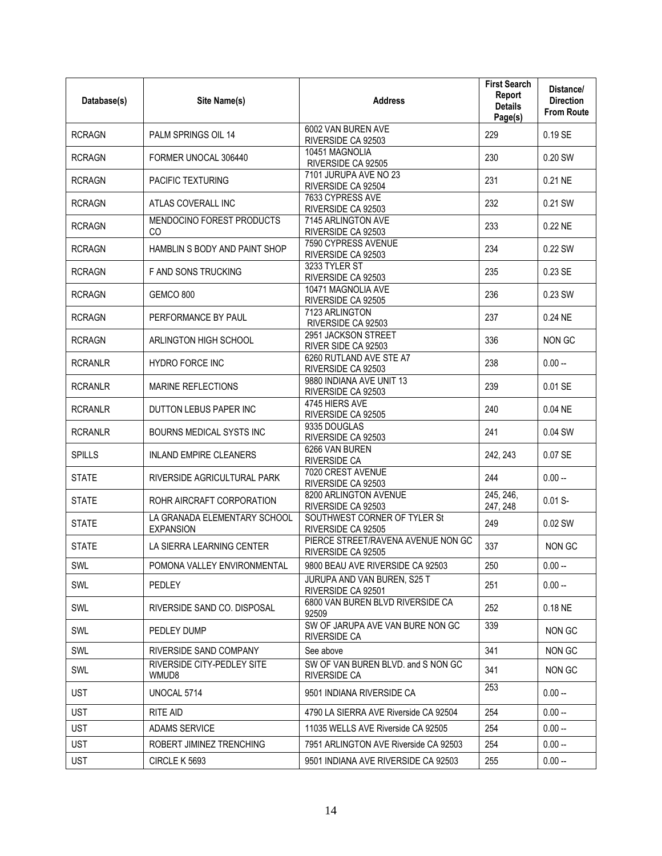| Database(s)    | Site Name(s)                                     | <b>Address</b>                                           | <b>First Search</b><br>Report<br><b>Details</b><br>Page(s) | Distance/<br><b>Direction</b><br><b>From Route</b> |
|----------------|--------------------------------------------------|----------------------------------------------------------|------------------------------------------------------------|----------------------------------------------------|
| <b>RCRAGN</b>  | PALM SPRINGS OIL 14                              | 6002 VAN BUREN AVE<br>RIVERSIDE CA 92503                 | 229                                                        | 0.19 SE                                            |
| <b>RCRAGN</b>  | FORMER UNOCAL 306440                             | 10451 MAGNOLIA<br>RIVERSIDE CA 92505                     | 230                                                        | 0.20 SW                                            |
| <b>RCRAGN</b>  | <b>PACIFIC TEXTURING</b>                         | 7101 JURUPA AVE NO 23<br>RIVERSIDE CA 92504              | 231                                                        | 0.21 NE                                            |
| <b>RCRAGN</b>  | ATLAS COVERALL INC                               | 7633 CYPRESS AVE<br>RIVERSIDE CA 92503                   | 232                                                        | 0.21 SW                                            |
| <b>RCRAGN</b>  | MENDOCINO FOREST PRODUCTS<br>CO                  | 7145 ARLINGTON AVE<br>RIVERSIDE CA 92503                 | 233                                                        | 0.22 NE                                            |
| <b>RCRAGN</b>  | HAMBLIN S BODY AND PAINT SHOP                    | 7590 CYPRESS AVENUE<br>RIVERSIDE CA 92503                | 234                                                        | 0.22 SW                                            |
| <b>RCRAGN</b>  | F AND SONS TRUCKING                              | 3233 TYLER ST<br>RIVERSIDE CA 92503                      | 235                                                        | 0.23 SE                                            |
| <b>RCRAGN</b>  | GEMCO 800                                        | 10471 MAGNOLIA AVE<br>RIVERSIDE CA 92505                 | 236                                                        | 0.23 SW                                            |
| <b>RCRAGN</b>  | PERFORMANCE BY PAUL                              | 7123 ARLINGTON<br>RIVERSIDE CA 92503                     | 237                                                        | 0.24 NE                                            |
| <b>RCRAGN</b>  | ARLINGTON HIGH SCHOOL                            | 2951 JACKSON STREET<br>RIVER SIDE CA 92503               | 336                                                        | NON GC                                             |
| <b>RCRANLR</b> | <b>HYDRO FORCE INC</b>                           | 6260 RUTLAND AVE STE A7<br>RIVERSIDE CA 92503            | 238                                                        | $0.00 -$                                           |
| <b>RCRANLR</b> | <b>MARINE REFLECTIONS</b>                        | 9880 INDIANA AVE UNIT 13<br>RIVERSIDE CA 92503           | 239                                                        | 0.01 SE                                            |
| <b>RCRANLR</b> | DUTTON LEBUS PAPER INC                           | 4745 HIERS AVE<br>RIVERSIDE CA 92505                     | 240                                                        | 0.04 NE                                            |
| <b>RCRANLR</b> | <b>BOURNS MEDICAL SYSTS INC</b>                  | 9335 DOUGLAS<br>RIVERSIDE CA 92503                       | 241                                                        | 0.04 SW                                            |
| <b>SPILLS</b>  | <b>INLAND EMPIRE CLEANERS</b>                    | 6266 VAN BUREN<br>RIVERSIDE CA                           | 242, 243                                                   | 0.07 SE                                            |
| <b>STATE</b>   | RIVERSIDE AGRICULTURAL PARK                      | 7020 CREST AVENUE<br>RIVERSIDE CA 92503                  | 244                                                        | $0.00 -$                                           |
| <b>STATE</b>   | ROHR AIRCRAFT CORPORATION                        | 8200 ARLINGTON AVENUE<br>RIVERSIDE CA 92503              | 245, 246,<br>247, 248                                      | $0.01 S -$                                         |
| <b>STATE</b>   | LA GRANADA ELEMENTARY SCHOOL<br><b>EXPANSION</b> | SOUTHWEST CORNER OF TYLER St<br>RIVERSIDE CA 92505       | 249                                                        | 0.02 SW                                            |
| <b>STATE</b>   | LA SIERRA LEARNING CENTER                        | PIERCE STREET/RAVENA AVENUE NON GC<br>RIVERSIDE CA 92505 | 337                                                        | NON GC                                             |
| SWL            | POMONA VALLEY ENVIRONMENTAL                      | 9800 BEAU AVE RIVERSIDE CA 92503                         | 250                                                        | $0.00 -$                                           |
| SWL            | PEDLEY                                           | JURUPA AND VAN BUREN, S25 T<br>RIVERSIDE CA 92501        | 251                                                        | $0.00 -$                                           |
| SWL            | RIVERSIDE SAND CO. DISPOSAL                      | 6800 VAN BUREN BLVD RIVERSIDE CA<br>92509                | 252                                                        | $0.18$ NE                                          |
| <b>SWL</b>     | PEDLEY DUMP                                      | SW OF JARUPA AVE VAN BURE NON GC<br><b>RIVERSIDE CA</b>  | 339                                                        | NON GC                                             |
| SWL            | RIVERSIDE SAND COMPANY                           | See above                                                | 341                                                        | NON GC                                             |
| SWL            | RIVERSIDE CITY-PEDLEY SITE<br>WMUD8              | SW OF VAN BUREN BLVD. and S NON GC<br>RIVERSIDE CA       | 341                                                        | NON GC                                             |
| <b>UST</b>     | UNOCAL 5714                                      | 9501 INDIANA RIVERSIDE CA                                | 253                                                        | $0.00 -$                                           |
| <b>UST</b>     | <b>RITE AID</b>                                  | 4790 LA SIERRA AVE Riverside CA 92504                    | 254                                                        | $0.00 -$                                           |
| <b>UST</b>     | <b>ADAMS SERVICE</b>                             | 11035 WELLS AVE Riverside CA 92505                       | 254                                                        | $0.00 -$                                           |
| <b>UST</b>     | ROBERT JIMINEZ TRENCHING                         | 7951 ARLINGTON AVE Riverside CA 92503                    | 254                                                        | $0.00 -$                                           |
| <b>UST</b>     | CIRCLE K 5693                                    | 9501 INDIANA AVE RIVERSIDE CA 92503                      | 255                                                        | $0.00 -$                                           |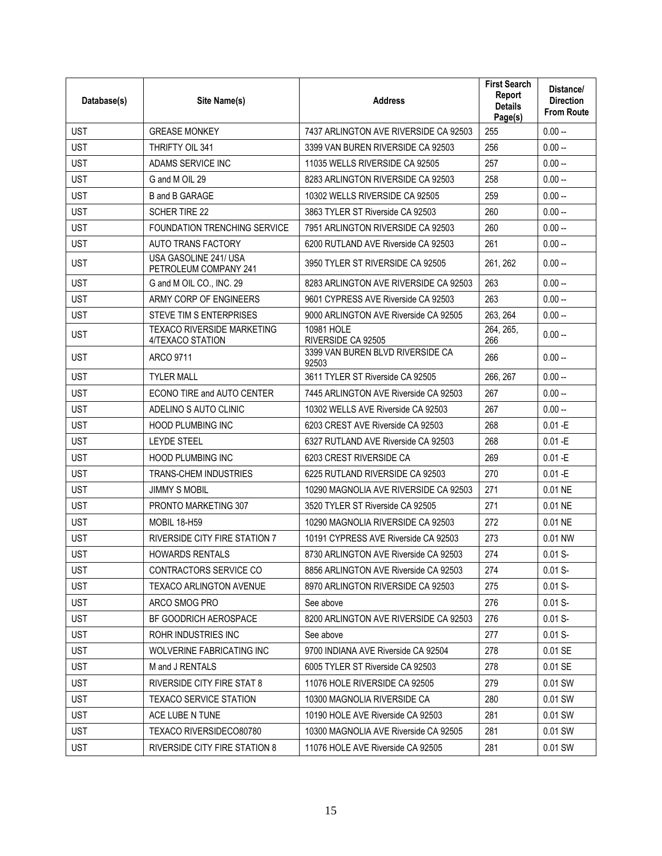| Database(s) | Site Name(s)                                          | <b>Address</b>                            | <b>First Search</b><br>Report<br><b>Details</b><br>Page(s) | Distance/<br><b>Direction</b><br><b>From Route</b> |
|-------------|-------------------------------------------------------|-------------------------------------------|------------------------------------------------------------|----------------------------------------------------|
| <b>UST</b>  | <b>GREASE MONKEY</b>                                  | 7437 ARLINGTON AVE RIVERSIDE CA 92503     | 255                                                        | $0.00 -$                                           |
| <b>UST</b>  | THRIFTY OIL 341                                       | 3399 VAN BUREN RIVERSIDE CA 92503         | 256                                                        | $0.00 -$                                           |
| <b>UST</b>  | ADAMS SERVICE INC                                     | 11035 WELLS RIVERSIDE CA 92505            | 257                                                        | $0.00 -$                                           |
| <b>UST</b>  | G and M OIL 29                                        | 8283 ARLINGTON RIVERSIDE CA 92503         | 258                                                        | $0.00 -$                                           |
| <b>UST</b>  | <b>B</b> and <b>B</b> GARAGE                          | 10302 WELLS RIVERSIDE CA 92505            | 259                                                        | $0.00 -$                                           |
| <b>UST</b>  | <b>SCHER TIRE 22</b>                                  | 3863 TYLER ST Riverside CA 92503          | 260                                                        | $0.00 -$                                           |
| <b>UST</b>  | <b>FOUNDATION TRENCHING SERVICE</b>                   | 7951 ARLINGTON RIVERSIDE CA 92503         | 260                                                        | $0.00 -$                                           |
| <b>UST</b>  | AUTO TRANS FACTORY                                    | 6200 RUTLAND AVE Riverside CA 92503       | 261                                                        | $0.00 -$                                           |
| <b>UST</b>  | USA GASOLINE 241/ USA<br>PETROLEUM COMPANY 241        | 3950 TYLER ST RIVERSIDE CA 92505          | 261, 262                                                   | $0.00 -$                                           |
| <b>UST</b>  | G and M OIL CO., INC. 29                              | 8283 ARLINGTON AVE RIVERSIDE CA 92503     | 263                                                        | $0.00 -$                                           |
| <b>UST</b>  | ARMY CORP OF ENGINEERS                                | 9601 CYPRESS AVE Riverside CA 92503       | 263                                                        | $0.00 -$                                           |
| <b>UST</b>  | STEVE TIM S ENTERPRISES                               | 9000 ARLINGTON AVE Riverside CA 92505     | 263, 264                                                   | $0.00 -$                                           |
| <b>UST</b>  | <b>TEXACO RIVERSIDE MARKETING</b><br>4/TEXACO STATION | 10981 HOLE<br>RIVERSIDE CA 92505          | 264, 265,<br>266                                           | $0.00 -$                                           |
| <b>UST</b>  | <b>ARCO 9711</b>                                      | 3399 VAN BUREN BLVD RIVERSIDE CA<br>92503 | 266                                                        | $0.00 -$                                           |
| <b>UST</b>  | <b>TYLER MALL</b>                                     | 3611 TYLER ST Riverside CA 92505          | 266, 267                                                   | $0.00 -$                                           |
| <b>UST</b>  | ECONO TIRE and AUTO CENTER                            | 7445 ARLINGTON AVE Riverside CA 92503     | 267                                                        | $0.00 -$                                           |
| <b>UST</b>  | ADELINO S AUTO CLINIC                                 | 10302 WELLS AVE Riverside CA 92503        | 267                                                        | $0.00 -$                                           |
| <b>UST</b>  | <b>HOOD PLUMBING INC</b>                              | 6203 CREST AVE Riverside CA 92503         | 268                                                        | $0.01 - E$                                         |
| <b>UST</b>  | <b>LEYDE STEEL</b>                                    | 6327 RUTLAND AVE Riverside CA 92503       | 268                                                        | $0.01 - E$                                         |
| <b>UST</b>  | <b>HOOD PLUMBING INC</b>                              | 6203 CREST RIVERSIDE CA                   | 269                                                        | $0.01 - E$                                         |
| <b>UST</b>  | <b>TRANS-CHEM INDUSTRIES</b>                          | 6225 RUTLAND RIVERSIDE CA 92503           | 270                                                        | $0.01 - E$                                         |
| <b>UST</b>  | <b>JIMMY S MOBIL</b>                                  | 10290 MAGNOLIA AVE RIVERSIDE CA 92503     | 271                                                        | 0.01 NE                                            |
| <b>UST</b>  | PRONTO MARKETING 307                                  | 3520 TYLER ST Riverside CA 92505          | 271                                                        | 0.01 NE                                            |
| <b>UST</b>  | <b>MOBIL 18-H59</b>                                   | 10290 MAGNOLIA RIVERSIDE CA 92503         | 272                                                        | 0.01 NE                                            |
| <b>UST</b>  | <b>RIVERSIDE CITY FIRE STATION 7</b>                  | 10191 CYPRESS AVE Riverside CA 92503      | 273                                                        | 0.01 NW                                            |
| <b>UST</b>  | <b>HOWARDS RENTALS</b>                                | 8730 ARLINGTON AVE Riverside CA 92503     | 274                                                        | $0.01 S -$                                         |
| <b>UST</b>  | CONTRACTORS SERVICE CO                                | 8856 ARLINGTON AVE Riverside CA 92503     | 274                                                        | $0.01 S -$                                         |
| <b>UST</b>  | TEXACO ARLINGTON AVENUE                               | 8970 ARLINGTON RIVERSIDE CA 92503         | 275                                                        | $0.01 S -$                                         |
| <b>UST</b>  | ARCO SMOG PRO                                         | See above                                 | 276                                                        | $0.01 S -$                                         |
| <b>UST</b>  | BF GOODRICH AEROSPACE                                 | 8200 ARLINGTON AVE RIVERSIDE CA 92503     | 276                                                        | $0.01 S -$                                         |
| <b>UST</b>  | ROHR INDUSTRIES INC                                   | See above                                 | 277                                                        | $0.01 S -$                                         |
| <b>UST</b>  | WOLVERINE FABRICATING INC                             | 9700 INDIANA AVE Riverside CA 92504       | 278                                                        | 0.01 SE                                            |
| <b>UST</b>  | M and J RENTALS                                       | 6005 TYLER ST Riverside CA 92503          | 278                                                        | 0.01 SE                                            |
| <b>UST</b>  | RIVERSIDE CITY FIRE STAT 8                            | 11076 HOLE RIVERSIDE CA 92505             | 279                                                        | 0.01 SW                                            |
| <b>UST</b>  | <b>TEXACO SERVICE STATION</b>                         | 10300 MAGNOLIA RIVERSIDE CA               | 280                                                        | 0.01 SW                                            |
| <b>UST</b>  | ACE LUBE N TUNE                                       | 10190 HOLE AVE Riverside CA 92503         | 281                                                        | 0.01 SW                                            |
| <b>UST</b>  | TEXACO RIVERSIDECO80780                               | 10300 MAGNOLIA AVE Riverside CA 92505     | 281                                                        | 0.01 SW                                            |
| UST         | RIVERSIDE CITY FIRE STATION 8                         | 11076 HOLE AVE Riverside CA 92505         | 281                                                        | 0.01 SW                                            |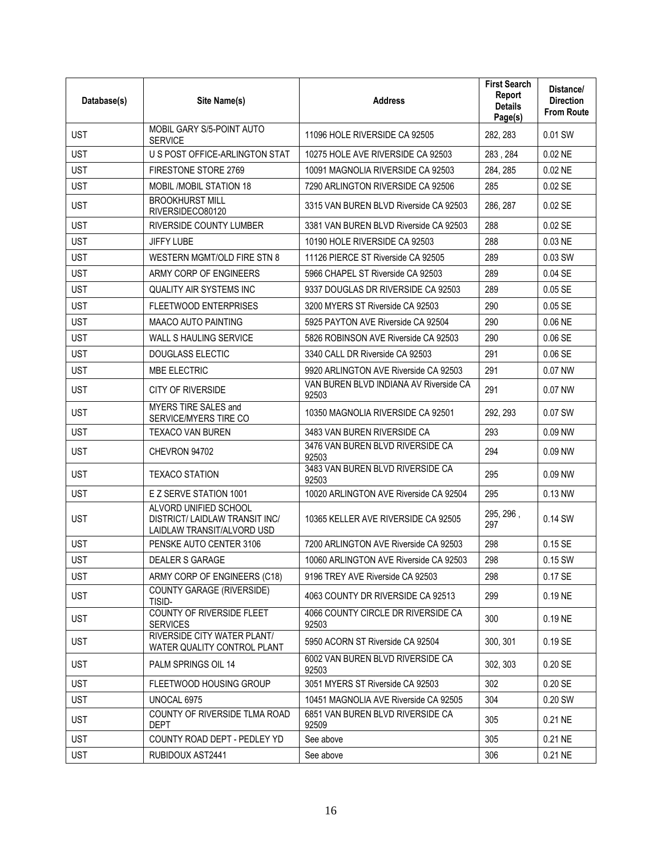| Database(s) | Site Name(s)                                                                          | <b>Address</b>                                  | <b>First Search</b><br>Report<br><b>Details</b><br>Page(s) | Distance/<br><b>Direction</b><br><b>From Route</b> |
|-------------|---------------------------------------------------------------------------------------|-------------------------------------------------|------------------------------------------------------------|----------------------------------------------------|
| <b>UST</b>  | MOBIL GARY S/5-POINT AUTO<br><b>SERVICE</b>                                           | 11096 HOLE RIVERSIDE CA 92505                   | 282, 283                                                   | 0.01 SW                                            |
| <b>UST</b>  | U S POST OFFICE-ARLINGTON STAT                                                        | 10275 HOLE AVE RIVERSIDE CA 92503               | 283, 284                                                   | 0.02 NE                                            |
| <b>UST</b>  | FIRESTONE STORE 2769                                                                  | 10091 MAGNOLIA RIVERSIDE CA 92503               | 284, 285                                                   | 0.02 NE                                            |
| <b>UST</b>  | <b>MOBIL /MOBIL STATION 18</b>                                                        | 7290 ARLINGTON RIVERSIDE CA 92506               | 285                                                        | $0.02$ SE                                          |
| <b>UST</b>  | <b>BROOKHURST MILL</b><br>RIVERSIDECO80120                                            | 3315 VAN BUREN BLVD Riverside CA 92503          | 286, 287                                                   | 0.02 SE                                            |
| <b>UST</b>  | RIVERSIDE COUNTY LUMBER                                                               | 3381 VAN BUREN BLVD Riverside CA 92503          | 288                                                        | 0.02 SE                                            |
| <b>UST</b>  | <b>JIFFY LUBE</b>                                                                     | 10190 HOLE RIVERSIDE CA 92503                   | 288                                                        | 0.03 NE                                            |
| <b>UST</b>  | WESTERN MGMT/OLD FIRE STN 8                                                           | 11126 PIERCE ST Riverside CA 92505              | 289                                                        | 0.03 SW                                            |
| <b>UST</b>  | ARMY CORP OF ENGINEERS                                                                | 5966 CHAPEL ST Riverside CA 92503               | 289                                                        | $0.04$ SE                                          |
| <b>UST</b>  | <b>QUALITY AIR SYSTEMS INC</b>                                                        | 9337 DOUGLAS DR RIVERSIDE CA 92503              | 289                                                        | $0.05$ SE                                          |
| <b>UST</b>  | <b>FLEETWOOD ENTERPRISES</b>                                                          | 3200 MYERS ST Riverside CA 92503                | 290                                                        | $0.05$ SE                                          |
| <b>UST</b>  | <b>MAACO AUTO PAINTING</b>                                                            | 5925 PAYTON AVE Riverside CA 92504              | 290                                                        | 0.06 NE                                            |
| <b>UST</b>  | WALL S HAULING SERVICE                                                                | 5826 ROBINSON AVE Riverside CA 92503            | 290                                                        | 0.06 SE                                            |
| <b>UST</b>  | <b>DOUGLASS ELECTIC</b>                                                               | 3340 CALL DR Riverside CA 92503                 | 291                                                        | 0.06 SE                                            |
| <b>UST</b>  | <b>MBE ELECTRIC</b>                                                                   | 9920 ARLINGTON AVE Riverside CA 92503           | 291                                                        | 0.07 NW                                            |
| <b>UST</b>  | <b>CITY OF RIVERSIDE</b>                                                              | VAN BUREN BLVD INDIANA AV Riverside CA<br>92503 | 291                                                        | 0.07 NW                                            |
| <b>UST</b>  | MYERS TIRE SALES and<br>SERVICE/MYERS TIRE CO                                         | 10350 MAGNOLIA RIVERSIDE CA 92501               | 292, 293                                                   | 0.07 SW                                            |
| <b>UST</b>  | <b>TEXACO VAN BUREN</b>                                                               | 3483 VAN BUREN RIVERSIDE CA                     | 293                                                        | 0.09 NW                                            |
| <b>UST</b>  | CHEVRON 94702                                                                         | 3476 VAN BUREN BLVD RIVERSIDE CA<br>92503       | 294                                                        | 0.09 NW                                            |
| <b>UST</b>  | <b>TEXACO STATION</b>                                                                 | 3483 VAN BUREN BLVD RIVERSIDE CA<br>92503       | 295                                                        | 0.09 NW                                            |
| <b>UST</b>  | E Z SERVE STATION 1001                                                                | 10020 ARLINGTON AVE Riverside CA 92504          | 295                                                        | $0.13$ NW                                          |
| <b>UST</b>  | ALVORD UNIFIED SCHOOL<br>DISTRICT/ LAIDLAW TRANSIT INC/<br>LAIDLAW TRANSIT/ALVORD USD | 10365 KELLER AVE RIVERSIDE CA 92505             | 295, 296,<br>297                                           | 0.14 SW                                            |
| <b>UST</b>  | PENSKE AUTO CENTER 3106                                                               | 7200 ARLINGTON AVE Riverside CA 92503           | 298                                                        | 0.15 SE                                            |
| <b>UST</b>  | DEALER S GARAGE                                                                       | 10060 ARLINGTON AVE Riverside CA 92503          | 298                                                        | 0.15 SW                                            |
| <b>UST</b>  | ARMY CORP OF ENGINEERS (C18)                                                          | 9196 TREY AVE Riverside CA 92503                | 298                                                        | 0.17 SE                                            |
| <b>UST</b>  | COUNTY GARAGE (RIVERSIDE)<br>TISID-                                                   | 4063 COUNTY DR RIVERSIDE CA 92513               | 299                                                        | 0.19 NE                                            |
| <b>UST</b>  | COUNTY OF RIVERSIDE FLEET<br><b>SERVICES</b>                                          | 4066 COUNTY CIRCLE DR RIVERSIDE CA<br>92503     | 300                                                        | 0.19 NE                                            |
| <b>UST</b>  | RIVERSIDE CITY WATER PLANT/<br>WATER QUALITY CONTROL PLANT                            | 5950 ACORN ST Riverside CA 92504                | 300, 301                                                   | 0.19 SE                                            |
| <b>UST</b>  | PALM SPRINGS OIL 14                                                                   | 6002 VAN BUREN BLVD RIVERSIDE CA<br>92503       | 302, 303                                                   | 0.20 SE                                            |
| <b>UST</b>  | FLEETWOOD HOUSING GROUP                                                               | 3051 MYERS ST Riverside CA 92503                | 302                                                        | 0.20 SE                                            |
| <b>UST</b>  | UNOCAL 6975                                                                           | 10451 MAGNOLIA AVE Riverside CA 92505           | 304                                                        | 0.20 SW                                            |
| <b>UST</b>  | COUNTY OF RIVERSIDE TLMA ROAD<br><b>DEPT</b>                                          | 6851 VAN BUREN BLVD RIVERSIDE CA<br>92509       | 305                                                        | 0.21 NE                                            |
| <b>UST</b>  | COUNTY ROAD DEPT - PEDLEY YD                                                          | See above                                       | 305                                                        | 0.21 NE                                            |
| <b>UST</b>  | RUBIDOUX AST2441                                                                      | See above                                       | 306                                                        | 0.21 NE                                            |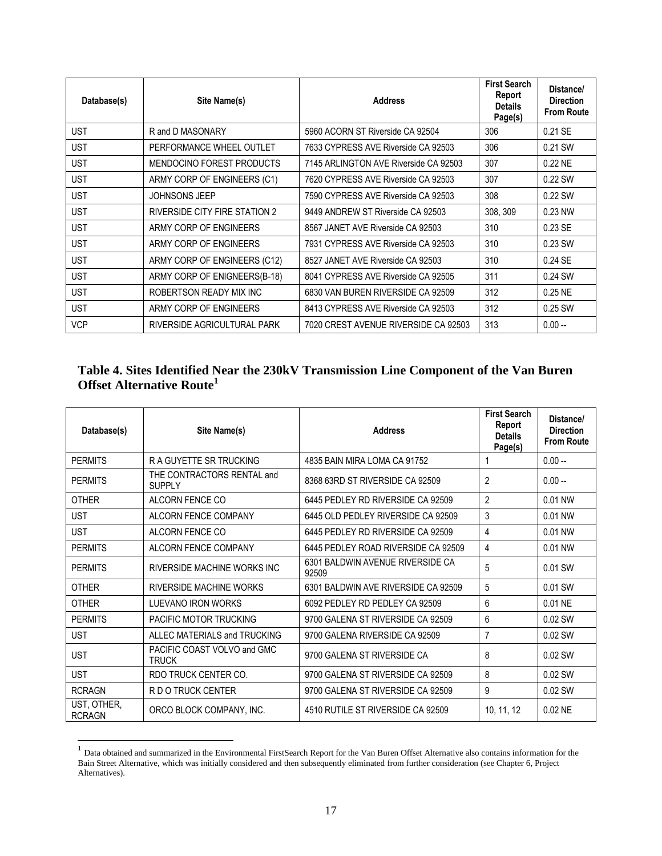| Database(s) | Site Name(s)                     | <b>Address</b>                        | <b>First Search</b><br>Report<br><b>Details</b><br>Page(s) | Distance/<br><b>Direction</b><br><b>From Route</b> |
|-------------|----------------------------------|---------------------------------------|------------------------------------------------------------|----------------------------------------------------|
| UST         | R and D MASONARY                 | 5960 ACORN ST Riverside CA 92504      | 306                                                        | 0.21 SE                                            |
| <b>UST</b>  | PERFORMANCE WHEEL OUTLET         | 7633 CYPRESS AVE Riverside CA 92503   | 306                                                        | 0.21 SW                                            |
| <b>UST</b>  | <b>MENDOCINO FOREST PRODUCTS</b> | 7145 ARLINGTON AVE Riverside CA 92503 | 307                                                        | $0.22$ NE                                          |
| <b>UST</b>  | ARMY CORP OF ENGINEERS (C1)      | 7620 CYPRESS AVE Riverside CA 92503   | 307                                                        | 0.22 SW                                            |
| <b>UST</b>  | <b>JOHNSONS JEEP</b>             | 7590 CYPRESS AVE Riverside CA 92503   | 308                                                        | 0.22 SW                                            |
| <b>UST</b>  | RIVERSIDE CITY FIRE STATION 2    | 9449 ANDREW ST Riverside CA 92503     | 308, 309                                                   | 0.23 NW                                            |
| <b>UST</b>  | ARMY CORP OF ENGINEERS           | 8567 JANET AVE Riverside CA 92503     | 310                                                        | 0.23 SE                                            |
| <b>UST</b>  | ARMY CORP OF ENGINEERS           | 7931 CYPRESS AVE Riverside CA 92503   | 310                                                        | 0.23 SW                                            |
| <b>UST</b>  | ARMY CORP OF ENGINEERS (C12)     | 8527 JANET AVE Riverside CA 92503     | 310                                                        | 0.24 SE                                            |
| <b>UST</b>  | ARMY CORP OF ENIGNEERS(B-18)     | 8041 CYPRESS AVE Riverside CA 92505   | 311                                                        | 0.24 SW                                            |
| <b>UST</b>  | ROBERTSON READY MIX INC          | 6830 VAN BUREN RIVERSIDE CA 92509     | 312                                                        | $0.25$ NE                                          |
| <b>UST</b>  | ARMY CORP OF ENGINEERS           | 8413 CYPRESS AVE Riverside CA 92503   | 312                                                        | 0.25 SW                                            |
| <b>VCP</b>  | RIVERSIDE AGRICULTURAL PARK      | 7020 CREST AVENUE RIVERSIDE CA 92503  | 313                                                        | $0.00 -$                                           |

### **Table 4. Sites Identified Near the 230kV Transmission Line Component of the Van Buren Offset Alternative Route<sup>1</sup>**

| Database(s)                  | Site Name(s)                                | <b>Address</b>                            | <b>First Search</b><br>Report<br><b>Details</b><br>Page(s) | Distance/<br><b>Direction</b><br><b>From Route</b> |
|------------------------------|---------------------------------------------|-------------------------------------------|------------------------------------------------------------|----------------------------------------------------|
| <b>PERMITS</b>               | <b>RA GUYETTE SR TRUCKING</b>               | 4835 BAIN MIRA LOMA CA 91752              |                                                            | $0.00 -$                                           |
| <b>PERMITS</b>               | THE CONTRACTORS RENTAL and<br><b>SUPPLY</b> | 8368 63RD ST RIVERSIDE CA 92509           | 2                                                          | $0.00 -$                                           |
| <b>OTHER</b>                 | ALCORN FENCE CO                             | 6445 PEDLEY RD RIVERSIDE CA 92509         | $\overline{2}$                                             | 0.01 NW                                            |
| <b>UST</b>                   | <b>ALCORN FENCE COMPANY</b>                 | 6445 OLD PEDLEY RIVERSIDE CA 92509        | 3                                                          | 0.01 NW                                            |
| <b>UST</b>                   | ALCORN FENCE CO                             | 6445 PEDLEY RD RIVERSIDE CA 92509         | 4                                                          | 0.01 NW                                            |
| <b>PERMITS</b>               | ALCORN FENCE COMPANY                        | 6445 PEDLEY ROAD RIVERSIDE CA 92509       | 4                                                          | 0.01 NW                                            |
| <b>PERMITS</b>               | RIVERSIDE MACHINE WORKS INC                 | 6301 BALDWIN AVENUE RIVERSIDE CA<br>92509 | 5                                                          | 0.01 SW                                            |
| <b>OTHER</b>                 | <b>RIVERSIDE MACHINE WORKS</b>              | 6301 BALDWIN AVE RIVERSIDE CA 92509       | 5                                                          | 0.01 SW                                            |
| <b>OTHER</b>                 | LUEVANO IRON WORKS                          | 6092 PEDLEY RD PEDLEY CA 92509            | 6                                                          | 0.01 NE                                            |
| <b>PERMITS</b>               | PACIFIC MOTOR TRUCKING                      | 9700 GALENA ST RIVERSIDE CA 92509         | 6                                                          | 0.02 SW                                            |
| <b>UST</b>                   | ALLEC MATERIALS and TRUCKING                | 9700 GALENA RIVERSIDE CA 92509            | 7                                                          | 0.02 SW                                            |
| <b>UST</b>                   | PACIFIC COAST VOLVO and GMC<br><b>TRUCK</b> | 9700 GALENA ST RIVERSIDE CA               | 8                                                          | 0.02 SW                                            |
| <b>UST</b>                   | RDO TRUCK CENTER CO.                        | 9700 GALENA ST RIVERSIDE CA 92509         | 8                                                          | 0.02 SW                                            |
| <b>RCRAGN</b>                | R D O TRUCK CENTER                          | 9700 GALENA ST RIVERSIDE CA 92509         | 9                                                          | 0.02 SW                                            |
| UST, OTHER,<br><b>RCRAGN</b> | ORCO BLOCK COMPANY, INC.                    | 4510 RUTILE ST RIVERSIDE CA 92509         | 10, 11, 12                                                 | $0.02$ NE                                          |

<sup>&</sup>lt;sup>1</sup> Data obtained and summarized in the Environmental FirstSearch Report for the Van Buren Offset Alternative also contains information for the Bain Street Alternative, which was initially considered and then subsequently eliminated from further consideration (see Chapter 6, Project Alternatives).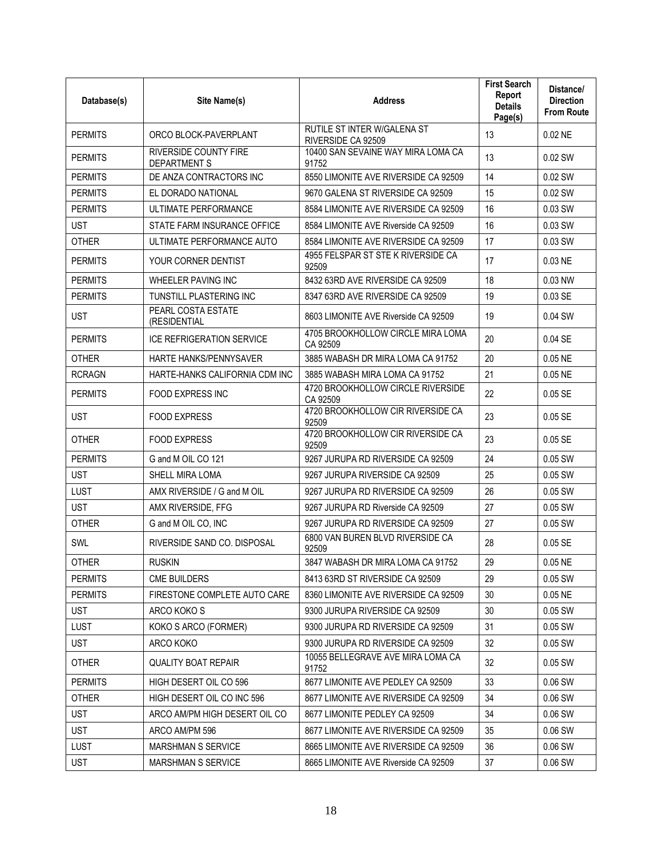| Database(s)    | Site Name(s)                                        | <b>Address</b>                                    | <b>First Search</b><br>Report<br><b>Details</b><br>Page(s) | Distance/<br><b>Direction</b><br><b>From Route</b> |
|----------------|-----------------------------------------------------|---------------------------------------------------|------------------------------------------------------------|----------------------------------------------------|
| <b>PERMITS</b> | ORCO BLOCK-PAVERPLANT                               | RUTILE ST INTER W/GALENA ST<br>RIVERSIDE CA 92509 | 13                                                         | 0.02 NE                                            |
| <b>PERMITS</b> | <b>RIVERSIDE COUNTY FIRE</b><br><b>DEPARTMENT S</b> | 10400 SAN SEVAINE WAY MIRA LOMA CA<br>91752       | 13                                                         | 0.02 SW                                            |
| <b>PERMITS</b> | DE ANZA CONTRACTORS INC                             | 8550 LIMONITE AVE RIVERSIDE CA 92509              | 14                                                         | 0.02 SW                                            |
| <b>PERMITS</b> | EL DORADO NATIONAL                                  | 9670 GALENA ST RIVERSIDE CA 92509                 | 15                                                         | 0.02 SW                                            |
| <b>PERMITS</b> | ULTIMATE PERFORMANCE                                | 8584 LIMONITE AVE RIVERSIDE CA 92509              | 16                                                         | 0.03 SW                                            |
| <b>UST</b>     | STATE FARM INSURANCE OFFICE                         | 8584 LIMONITE AVE Riverside CA 92509              | 16                                                         | 0.03 SW                                            |
| <b>OTHER</b>   | ULTIMATE PERFORMANCE AUTO                           | 8584 LIMONITE AVE RIVERSIDE CA 92509              | 17                                                         | 0.03 SW                                            |
| <b>PERMITS</b> | YOUR CORNER DENTIST                                 | 4955 FELSPAR ST STE K RIVERSIDE CA<br>92509       | 17                                                         | 0.03 NE                                            |
| <b>PERMITS</b> | WHEELER PAVING INC                                  | 8432 63RD AVE RIVERSIDE CA 92509                  | 18                                                         | 0.03 NW                                            |
| <b>PERMITS</b> | TUNSTILL PLASTERING INC                             | 8347 63RD AVE RIVERSIDE CA 92509                  | 19                                                         | 0.03 SE                                            |
| <b>UST</b>     | PEARL COSTA ESTATE<br>(RESIDENTIAL                  | 8603 LIMONITE AVE Riverside CA 92509              | 19                                                         | 0.04 SW                                            |
| <b>PERMITS</b> | <b>ICE REFRIGERATION SERVICE</b>                    | 4705 BROOKHOLLOW CIRCLE MIRA LOMA<br>CA 92509     | 20                                                         | 0.04 SE                                            |
| <b>OTHER</b>   | <b>HARTE HANKS/PENNYSAVER</b>                       | 3885 WABASH DR MIRA LOMA CA 91752                 | 20                                                         | 0.05 NE                                            |
| <b>RCRAGN</b>  | HARTE-HANKS CALIFORNIA CDM INC                      | 3885 WABASH MIRA LOMA CA 91752                    | 21                                                         | 0.05 NE                                            |
| <b>PERMITS</b> | FOOD EXPRESS INC                                    | 4720 BROOKHOLLOW CIRCLE RIVERSIDE<br>CA 92509     | 22                                                         | 0.05 SE                                            |
| <b>UST</b>     | <b>FOOD EXPRESS</b>                                 | 4720 BROOKHOLLOW CIR RIVERSIDE CA<br>92509        | 23                                                         | 0.05 SE                                            |
| <b>OTHER</b>   | <b>FOOD EXPRESS</b>                                 | 4720 BROOKHOLLOW CIR RIVERSIDE CA<br>92509        | 23                                                         | 0.05 SE                                            |
| <b>PERMITS</b> | G and M OIL CO 121                                  | 9267 JURUPA RD RIVERSIDE CA 92509                 | 24                                                         | 0.05 SW                                            |
| <b>UST</b>     | SHELL MIRA LOMA                                     | 9267 JURUPA RIVERSIDE CA 92509                    | 25                                                         | 0.05 SW                                            |
| LUST           | AMX RIVERSIDE / G and M OIL                         | 9267 JURUPA RD RIVERSIDE CA 92509                 | 26                                                         | 0.05 SW                                            |
| <b>UST</b>     | AMX RIVERSIDE, FFG                                  | 9267 JURUPA RD Riverside CA 92509                 | 27                                                         | 0.05 SW                                            |
| <b>OTHER</b>   | G and M OIL CO, INC                                 | 9267 JURUPA RD RIVERSIDE CA 92509                 | 27                                                         | 0.05 SW                                            |
| SWL            | RIVERSIDE SAND CO. DISPOSAL                         | 6800 VAN BUREN BLVD RIVERSIDE CA<br>92509         | 28                                                         | 0.05 SE                                            |
| <b>OTHER</b>   | <b>RUSKIN</b>                                       | 3847 WABASH DR MIRA LOMA CA 91752                 | 29                                                         | 0.05 NE                                            |
| <b>PERMITS</b> | <b>CME BUILDERS</b>                                 | 8413 63RD ST RIVERSIDE CA 92509                   | 29                                                         | $0.05$ SW                                          |
| <b>PERMITS</b> | FIRESTONE COMPLETE AUTO CARE                        | 8360 LIMONITE AVE RIVERSIDE CA 92509              | 30                                                         | 0.05 NE                                            |
| <b>UST</b>     | ARCO KOKO S                                         | 9300 JURUPA RIVERSIDE CA 92509                    | 30                                                         | 0.05 SW                                            |
| <b>LUST</b>    | KOKO S ARCO (FORMER)                                | 9300 JURUPA RD RIVERSIDE CA 92509                 | 31                                                         | 0.05 SW                                            |
| <b>UST</b>     | ARCO KOKO                                           | 9300 JURUPA RD RIVERSIDE CA 92509                 | 32                                                         | 0.05 SW                                            |
| <b>OTHER</b>   | <b>QUALITY BOAT REPAIR</b>                          | 10055 BELLEGRAVE AVE MIRA LOMA CA<br>91752        | 32                                                         | 0.05 SW                                            |
| <b>PERMITS</b> | HIGH DESERT OIL CO 596                              | 8677 LIMONITE AVE PEDLEY CA 92509                 | 33                                                         | 0.06 SW                                            |
| <b>OTHER</b>   | HIGH DESERT OIL CO INC 596                          | 8677 LIMONITE AVE RIVERSIDE CA 92509              | 34                                                         | 0.06 SW                                            |
| <b>UST</b>     | ARCO AM/PM HIGH DESERT OIL CO                       | 8677 LIMONITE PEDLEY CA 92509                     | 34                                                         | 0.06 SW                                            |
| <b>UST</b>     | ARCO AM/PM 596                                      | 8677 LIMONITE AVE RIVERSIDE CA 92509              | 35                                                         | 0.06 SW                                            |
| <b>LUST</b>    | <b>MARSHMAN S SERVICE</b>                           | 8665 LIMONITE AVE RIVERSIDE CA 92509              | 36                                                         | 0.06 SW                                            |
| <b>UST</b>     | <b>MARSHMAN S SERVICE</b>                           | 8665 LIMONITE AVE Riverside CA 92509              | 37                                                         | 0.06 SW                                            |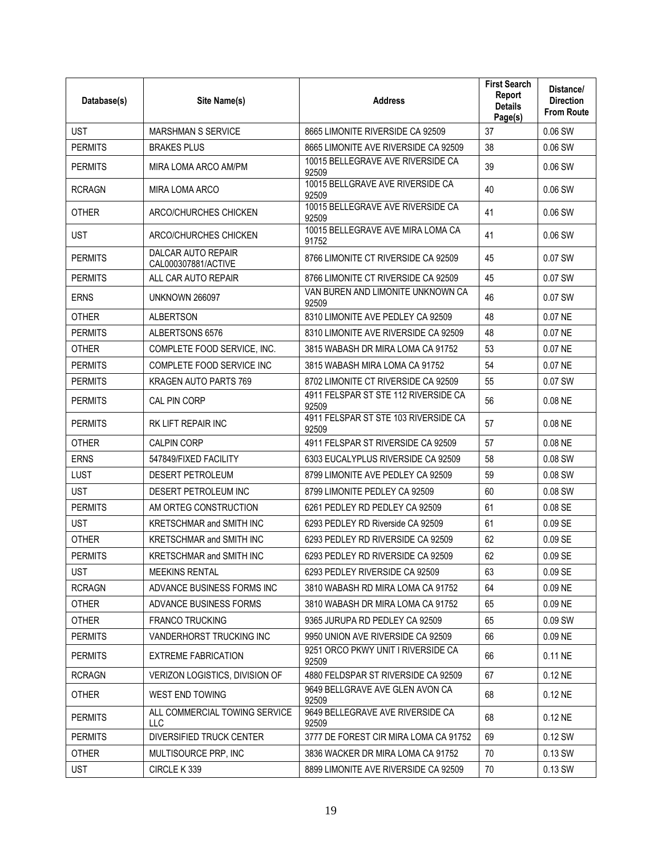| Database(s)    | Site Name(s)                                | <b>Address</b>                                | <b>First Search</b><br>Report<br><b>Details</b><br>Page(s) | Distance/<br><b>Direction</b><br><b>From Route</b> |
|----------------|---------------------------------------------|-----------------------------------------------|------------------------------------------------------------|----------------------------------------------------|
| <b>UST</b>     | <b>MARSHMAN S SERVICE</b>                   | 8665 LIMONITE RIVERSIDE CA 92509              | 37                                                         | 0.06 SW                                            |
| <b>PERMITS</b> | <b>BRAKES PLUS</b>                          | 8665 LIMONITE AVE RIVERSIDE CA 92509          | 38                                                         | 0.06 SW                                            |
| <b>PERMITS</b> | MIRA LOMA ARCO AM/PM                        | 10015 BELLEGRAVE AVE RIVERSIDE CA<br>92509    | 39                                                         | 0.06 SW                                            |
| <b>RCRAGN</b>  | MIRA LOMA ARCO                              | 10015 BELLGRAVE AVE RIVERSIDE CA<br>92509     | 40                                                         | 0.06 SW                                            |
| <b>OTHER</b>   | ARCO/CHURCHES CHICKEN                       | 10015 BELLEGRAVE AVE RIVERSIDE CA<br>92509    | 41                                                         | 0.06 SW                                            |
| <b>UST</b>     | ARCO/CHURCHES CHICKEN                       | 10015 BELLEGRAVE AVE MIRA LOMA CA<br>91752    | 41                                                         | 0.06 SW                                            |
| <b>PERMITS</b> | DALCAR AUTO REPAIR<br>CAL000307881/ACTIVE   | 8766 LIMONITE CT RIVERSIDE CA 92509           | 45                                                         | 0.07 SW                                            |
| <b>PERMITS</b> | ALL CAR AUTO REPAIR                         | 8766 LIMONITE CT RIVERSIDE CA 92509           | 45                                                         | 0.07 SW                                            |
| <b>ERNS</b>    | UNKNOWN 266097                              | VAN BUREN AND LIMONITE UNKNOWN CA<br>92509    | 46                                                         | 0.07 SW                                            |
| <b>OTHER</b>   | <b>ALBERTSON</b>                            | 8310 LIMONITE AVE PEDLEY CA 92509             | 48                                                         | 0.07 NE                                            |
| <b>PERMITS</b> | ALBERTSONS 6576                             | 8310 LIMONITE AVE RIVERSIDE CA 92509          | 48                                                         | 0.07 NE                                            |
| <b>OTHER</b>   | COMPLETE FOOD SERVICE, INC.                 | 3815 WABASH DR MIRA LOMA CA 91752             | 53                                                         | 0.07 NE                                            |
| <b>PERMITS</b> | COMPLETE FOOD SERVICE INC                   | 3815 WABASH MIRA LOMA CA 91752                | 54                                                         | 0.07 NE                                            |
| <b>PERMITS</b> | KRAGEN AUTO PARTS 769                       | 8702 LIMONITE CT RIVERSIDE CA 92509           | 55                                                         | 0.07 SW                                            |
| <b>PERMITS</b> | CAL PIN CORP                                | 4911 FELSPAR ST STE 112 RIVERSIDE CA<br>92509 | 56                                                         | 0.08 NE                                            |
| <b>PERMITS</b> | <b>RK LIFT REPAIR INC</b>                   | 4911 FELSPAR ST STE 103 RIVERSIDE CA<br>92509 | 57                                                         | 0.08 NE                                            |
| <b>OTHER</b>   | <b>CALPIN CORP</b>                          | 4911 FELSPAR ST RIVERSIDE CA 92509            | 57                                                         | 0.08 NE                                            |
| <b>ERNS</b>    | 547849/FIXED FACILITY                       | 6303 EUCALYPLUS RIVERSIDE CA 92509            | 58                                                         | 0.08 SW                                            |
| <b>LUST</b>    | <b>DESERT PETROLEUM</b>                     | 8799 LIMONITE AVE PEDLEY CA 92509             | 59                                                         | 0.08 SW                                            |
| <b>UST</b>     | DESERT PETROLEUM INC                        | 8799 LIMONITE PEDLEY CA 92509                 | 60                                                         | 0.08 SW                                            |
| <b>PERMITS</b> | AM ORTEG CONSTRUCTION                       | 6261 PEDLEY RD PEDLEY CA 92509                | 61                                                         | 0.08 SE                                            |
| <b>UST</b>     | <b>KRETSCHMAR and SMITH INC</b>             | 6293 PEDLEY RD Riverside CA 92509             | 61                                                         | 0.09 SE                                            |
| <b>OTHER</b>   | <b>KRETSCHMAR and SMITH INC</b>             | 6293 PEDLEY RD RIVERSIDE CA 92509             | 62                                                         | 0.09 SE                                            |
| <b>PERMITS</b> | <b>KRETSCHMAR and SMITH INC</b>             | 6293 PEDLEY RD RIVERSIDE CA 92509             | 62                                                         | 0.09 SE                                            |
| <b>UST</b>     | <b>MEEKINS RENTAL</b>                       | 6293 PEDLEY RIVERSIDE CA 92509                | 63                                                         | 0.09 SE                                            |
| <b>RCRAGN</b>  | ADVANCE BUSINESS FORMS INC                  | 3810 WABASH RD MIRA LOMA CA 91752             | 64                                                         | 0.09 NE                                            |
| <b>OTHER</b>   | ADVANCE BUSINESS FORMS                      | 3810 WABASH DR MIRA LOMA CA 91752             | 65                                                         | 0.09 NE                                            |
| <b>OTHER</b>   | <b>FRANCO TRUCKING</b>                      | 9365 JURUPA RD PEDLEY CA 92509                | 65                                                         | 0.09 SW                                            |
| <b>PERMITS</b> | VANDERHORST TRUCKING INC                    | 9950 UNION AVE RIVERSIDE CA 92509             | 66                                                         | 0.09 NE                                            |
| <b>PERMITS</b> | <b>EXTREME FABRICATION</b>                  | 9251 ORCO PKWY UNIT I RIVERSIDE CA<br>92509   | 66                                                         | 0.11 NE                                            |
| <b>RCRAGN</b>  | <b>VERIZON LOGISTICS, DIVISION OF</b>       | 4880 FELDSPAR ST RIVERSIDE CA 92509           | 67                                                         | 0.12 NE                                            |
| <b>OTHER</b>   | WEST END TOWING                             | 9649 BELLGRAVE AVE GLEN AVON CA<br>92509      | 68                                                         | 0.12 NE                                            |
| <b>PERMITS</b> | ALL COMMERCIAL TOWING SERVICE<br><b>LLC</b> | 9649 BELLEGRAVE AVE RIVERSIDE CA<br>92509     | 68                                                         | 0.12 NE                                            |
| <b>PERMITS</b> | <b>DIVERSIFIED TRUCK CENTER</b>             | 3777 DE FOREST CIR MIRA LOMA CA 91752         | 69                                                         | 0.12 SW                                            |
| <b>OTHER</b>   | MULTISOURCE PRP, INC                        | 3836 WACKER DR MIRA LOMA CA 91752             | 70                                                         | 0.13 SW                                            |
| <b>UST</b>     | CIRCLE K 339                                | 8899 LIMONITE AVE RIVERSIDE CA 92509          | 70                                                         | 0.13 SW                                            |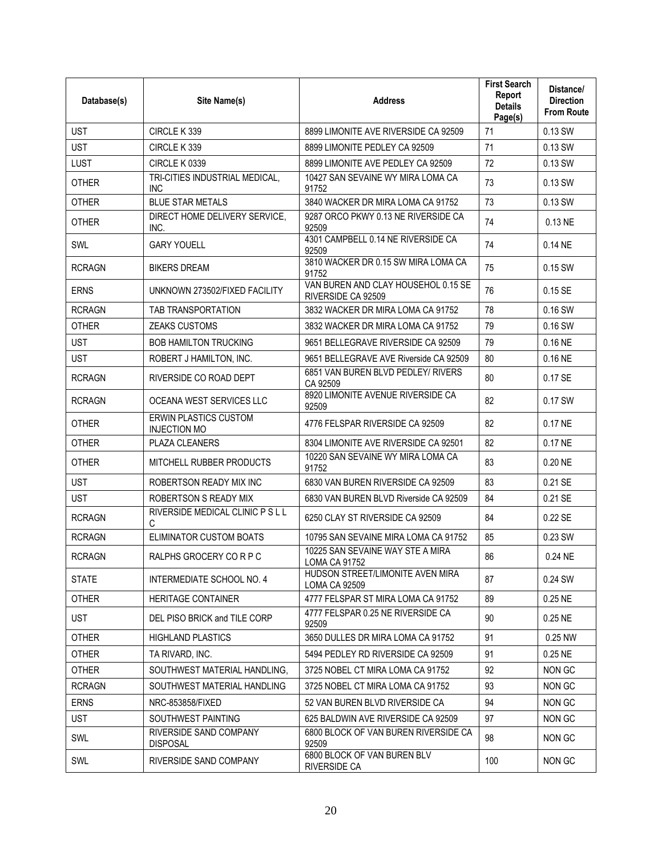| Database(s)   | Site Name(s)                                        | <b>Address</b>                                            | <b>First Search</b><br>Report<br><b>Details</b><br>Page(s) | Distance/<br><b>Direction</b><br><b>From Route</b> |
|---------------|-----------------------------------------------------|-----------------------------------------------------------|------------------------------------------------------------|----------------------------------------------------|
| <b>UST</b>    | CIRCLE K339                                         | 8899 LIMONITE AVE RIVERSIDE CA 92509                      | 71                                                         | 0.13 SW                                            |
| <b>UST</b>    | CIRCLE K339                                         | 8899 LIMONITE PEDLEY CA 92509                             | 71                                                         | 0.13 SW                                            |
| <b>LUST</b>   | CIRCLE K 0339                                       | 8899 LIMONITE AVE PEDLEY CA 92509                         | 72                                                         | 0.13 SW                                            |
| <b>OTHER</b>  | TRI-CITIES INDUSTRIAL MEDICAL,<br><b>INC</b>        | 10427 SAN SEVAINE WY MIRA LOMA CA<br>91752                | 73                                                         | 0.13 SW                                            |
| <b>OTHER</b>  | <b>BLUE STAR METALS</b>                             | 3840 WACKER DR MIRA LOMA CA 91752                         | 73                                                         | 0.13 SW                                            |
| <b>OTHER</b>  | DIRECT HOME DELIVERY SERVICE,<br>INC.               | 9287 ORCO PKWY 0.13 NE RIVERSIDE CA<br>92509              | 74                                                         | 0.13 NE                                            |
| SWL           | <b>GARY YOUELL</b>                                  | 4301 CAMPBELL 0.14 NE RIVERSIDE CA<br>92509               | 74                                                         | 0.14 NE                                            |
| <b>RCRAGN</b> | <b>BIKERS DREAM</b>                                 | 3810 WACKER DR 0.15 SW MIRA LOMA CA<br>91752              | 75                                                         | $0.15$ SW                                          |
| <b>ERNS</b>   | UNKNOWN 273502/FIXED FACILITY                       | VAN BUREN AND CLAY HOUSEHOL 0.15 SE<br>RIVERSIDE CA 92509 | 76                                                         | 0.15SE                                             |
| <b>RCRAGN</b> | TAB TRANSPORTATION                                  | 3832 WACKER DR MIRA LOMA CA 91752                         | 78                                                         | 0.16 SW                                            |
| <b>OTHER</b>  | <b>ZEAKS CUSTOMS</b>                                | 3832 WACKER DR MIRA LOMA CA 91752                         | 79                                                         | 0.16 SW                                            |
| <b>UST</b>    | <b>BOB HAMILTON TRUCKING</b>                        | 9651 BELLEGRAVE RIVERSIDE CA 92509                        | 79                                                         | 0.16 NE                                            |
| <b>UST</b>    | ROBERT J HAMILTON, INC.                             | 9651 BELLEGRAVE AVE Riverside CA 92509                    | 80                                                         | 0.16 NE                                            |
| <b>RCRAGN</b> | RIVERSIDE CO ROAD DEPT                              | 6851 VAN BUREN BLVD PEDLEY/ RIVERS<br>CA 92509            | 80                                                         | 0.17 SE                                            |
| <b>RCRAGN</b> | OCEANA WEST SERVICES LLC                            | 8920 LIMONITE AVENUE RIVERSIDE CA<br>92509                | 82                                                         | 0.17 SW                                            |
| <b>OTHER</b>  | <b>ERWIN PLASTICS CUSTOM</b><br><b>INJECTION MO</b> | 4776 FELSPAR RIVERSIDE CA 92509                           | 82                                                         | 0.17 NE                                            |
| <b>OTHER</b>  | <b>PLAZA CLEANERS</b>                               | 8304 LIMONITE AVE RIVERSIDE CA 92501                      | 82                                                         | 0.17 NE                                            |
| <b>OTHER</b>  | MITCHELL RUBBER PRODUCTS                            | 10220 SAN SEVAINE WY MIRA LOMA CA<br>91752                | 83                                                         | 0.20 NE                                            |
| <b>UST</b>    | ROBERTSON READY MIX INC                             | 6830 VAN BUREN RIVERSIDE CA 92509                         | 83                                                         | 0.21 SE                                            |
| <b>UST</b>    | ROBERTSON S READY MIX                               | 6830 VAN BUREN BLVD Riverside CA 92509                    | 84                                                         | 0.21 SE                                            |
| <b>RCRAGN</b> | RIVERSIDE MEDICAL CLINIC P S L L<br>C               | 6250 CLAY ST RIVERSIDE CA 92509                           | 84                                                         | 0.22 SE                                            |
| <b>RCRAGN</b> | ELIMINATOR CUSTOM BOATS                             | 10795 SAN SEVAINE MIRA LOMA CA 91752                      | 85                                                         | 0.23 SW                                            |
| <b>RCRAGN</b> | RALPHS GROCERY CO R P C                             | 10225 SAN SEVAINE WAY STE A MIRA<br>LOMA CA 91752         | 86                                                         | 0.24 NE                                            |
| <b>STATE</b>  | INTERMEDIATE SCHOOL NO. 4                           | HUDSON STREET/LIMONITE AVEN MIRA<br>LOMA CA 92509         | 87                                                         | 0.24 SW                                            |
| <b>OTHER</b>  | <b>HERITAGE CONTAINER</b>                           | 4777 FELSPAR ST MIRA LOMA CA 91752                        | 89                                                         | 0.25 NE                                            |
| <b>UST</b>    | DEL PISO BRICK and TILE CORP                        | 4777 FELSPAR 0.25 NE RIVERSIDE CA<br>92509                | 90                                                         | 0.25 NE                                            |
| <b>OTHER</b>  | <b>HIGHLAND PLASTICS</b>                            | 3650 DULLES DR MIRA LOMA CA 91752                         | 91                                                         | 0.25 NW                                            |
| <b>OTHER</b>  | TA RIVARD, INC.                                     | 5494 PEDLEY RD RIVERSIDE CA 92509                         | 91                                                         | 0.25 NE                                            |
| OTHER         | SOUTHWEST MATERIAL HANDLING.                        | 3725 NOBEL CT MIRA LOMA CA 91752                          | 92                                                         | NON GC                                             |
| <b>RCRAGN</b> | SOUTHWEST MATERIAL HANDLING                         | 3725 NOBEL CT MIRA LOMA CA 91752                          | 93                                                         | NON GC                                             |
| <b>ERNS</b>   | NRC-853858/FIXED                                    | 52 VAN BUREN BLVD RIVERSIDE CA                            | 94                                                         | NON GC                                             |
| <b>UST</b>    | SOUTHWEST PAINTING                                  | 625 BALDWIN AVE RIVERSIDE CA 92509                        | 97                                                         | NON GC                                             |
| SWL           | RIVERSIDE SAND COMPANY<br><b>DISPOSAL</b>           | 6800 BLOCK OF VAN BUREN RIVERSIDE CA<br>92509             | 98                                                         | NON GC                                             |
| SWL           | RIVERSIDE SAND COMPANY                              | 6800 BLOCK OF VAN BUREN BLV<br>RIVERSIDE CA               | 100                                                        | NON GC                                             |